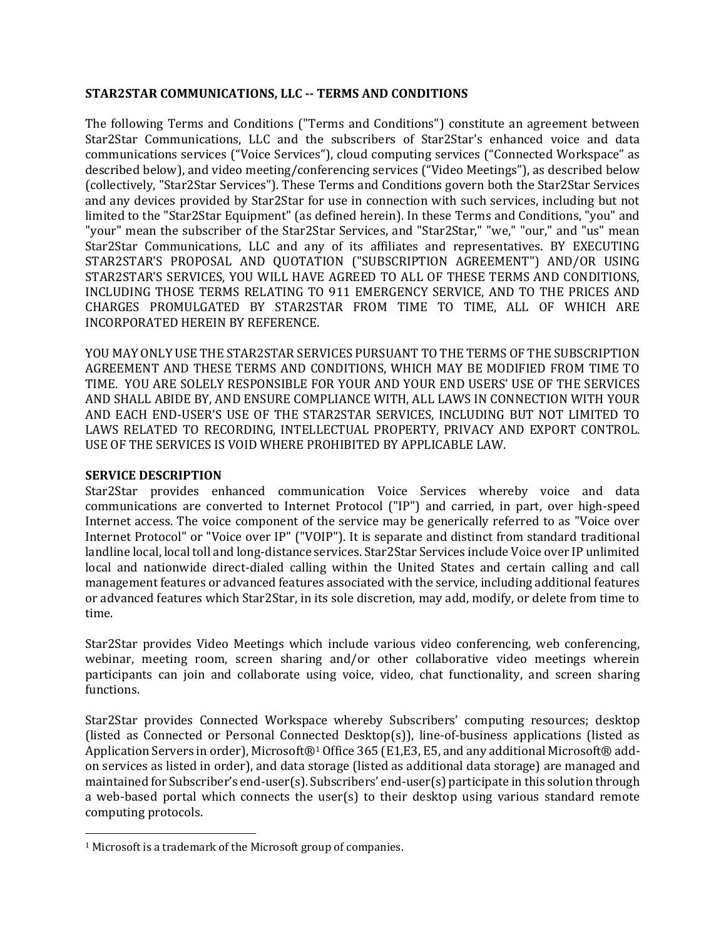## **STAR2STAR COMMUNICATIONS, LLC -- TERMS AND CONDITIONS**

The following Terms and Conditions ("Terms and Conditions") constitute an agreement between Star2Star Communications, LLC and the subscribers of Star2Star's enhanced voice and data communications services ("Voice Services"), cloud computing services ("Connected Workspace" as described below), and video meeting/conferencing services ("Video Meetings"), as described below (collectively, "Star2Star Services"). These Terms and Conditions govern both the Star2Star Services and any devices provided by Star2Star for use in connection with such services, including but not limited to the "Star2Star Equipment" (as defined herein). In these Terms and Conditions, "you" and "your" mean the subscriber of the Star2Star Services, and "Star2Star," "we," "our," and "us" mean Star2Star Communications, LLC and any of its affiliates and representatives. BY EXECUTING STAR2STAR'S PROPOSAL AND QUOTATION ("SUBSCRIPTION AGREEMENT") AND/OR USING STAR2STAR'S SERVICES, YOU WILL HAVE AGREED TO ALL OF THESE TERMS AND CONDITIONS, INCLUDING THOSE TERMS RELATING TO 911 EMERGENCY SERVICE, AND TO THE PRICES AND CHARGES PROMULGATED BY STAR2STAR FROM TIME TO TIME, ALL OF WHICH ARE INCORPORATED HEREIN BY REFERENCE.

YOU MAY ONLY USE THE STAR2STAR SERVICES PURSUANT TO THE TERMS OF THE SUBSCRIPTION AGREEMENT AND THESE TERMS AND CONDITIONS, WHICH MAY BE MODIFIED FROM TIME TO TIME. YOU ARE SOLELY RESPONSIBLE FOR YOUR AND YOUR END USERS' USE OF THE SERVICES AND SHALL ABIDE BY, AND ENSURE COMPLIANCE WITH, ALL LAWS IN CONNECTION WITH YOUR AND EACH END-USER'S USE OF THE STAR2STAR SERVICES, INCLUDING BUT NOT LIMITED TO LAWS RELATED TO RECORDING, INTELLECTUAL PROPERTY, PRIVACY AND EXPORT CONTROL. USE OF THE SERVICES IS VOID WHERE PROHIBITED BY APPLICABLE LAW.

## **SERVICE DESCRIPTION**

 $\overline{\phantom{a}}$ 

Star2Star provides enhanced communication Voice Services whereby voice and data communications are converted to Internet Protocol ("IP") and carried, in part, over high-speed Internet access. The voice component of the service may be generically referred to as "Voice over Internet Protocol" or "Voice over IP" ("VOIP"). It is separate and distinct from standard traditional landline local, local toll and long-distance services. Star2Star Services include Voice over IP unlimited local and nationwide direct-dialed calling within the United States and certain calling and call management features or advanced features associated with the service, including additional features or advanced features which Star2Star, in its sole discretion, may add, modify, or delete from time to time.

Star2Star provides Video Meetings which include various video conferencing, web conferencing, webinar, meeting room, screen sharing and/or other collaborative video meetings wherein participants can join and collaborate using voice, video, chat functionality, and screen sharing functions.

Star2Star provides Connected Workspace whereby Subscribers' computing resources; desktop (listed as Connected or Personal Connected Desktop(s)), line-of-business applications (listed as Application Servers in order), Microsoft®<sup>1</sup> Office 365 (E1,E3, E5, and any additional Microsoft® addon services as listed in order), and data storage (listed as additional data storage) are managed and maintained for Subscriber's end-user(s). Subscribers' end-user(s) participate in this solution through a web-based portal which connects the user(s) to their desktop using various standard remote computing protocols.

<sup>1</sup> Microsoft is a trademark of the Microsoft group of companies.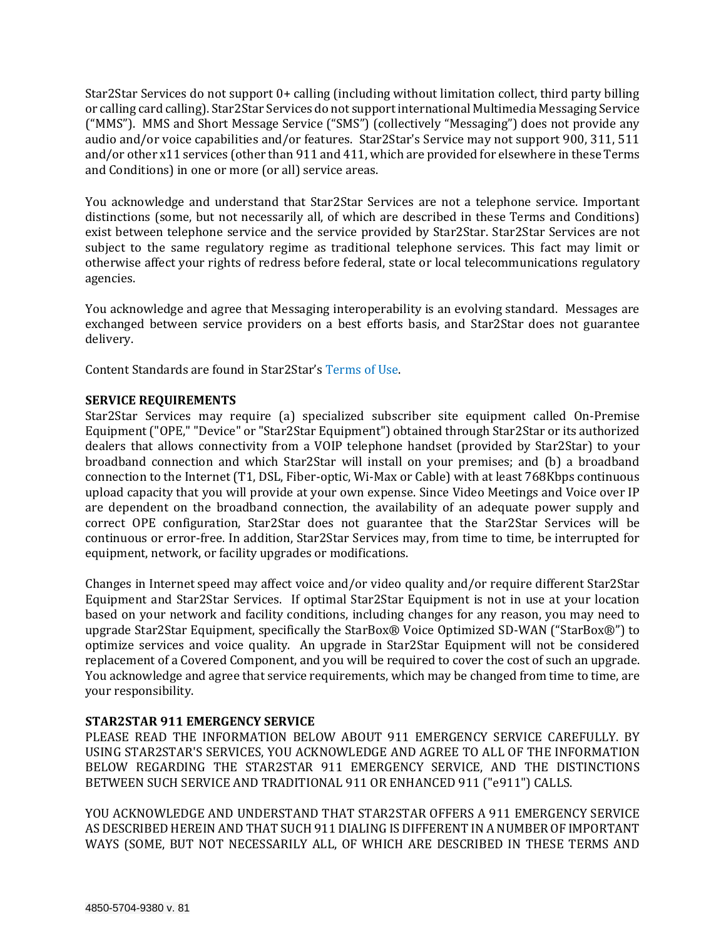Star2Star Services do not support 0+ calling (including without limitation collect, third party billing or calling card calling). Star2Star Services do not support international Multimedia Messaging Service ("MMS"). MMS and Short Message Service ("SMS") (collectively "Messaging") does not provide any audio and/or voice capabilities and/or features. Star2Star's Service may not support 900, 311, 511 and/or other x11 services (other than 911 and 411, which are provided for elsewhere in these Terms and Conditions) in one or more (or all) service areas.

You acknowledge and understand that Star2Star Services are not a telephone service. Important distinctions (some, but not necessarily all, of which are described in these Terms and Conditions) exist between telephone service and the service provided by Star2Star. Star2Star Services are not subject to the same regulatory regime as traditional telephone services. This fact may limit or otherwise affect your rights of redress before federal, state or local telecommunications regulatory agencies.

You acknowledge and agree that Messaging interoperability is an evolving standard. Messages are exchanged between service providers on a best efforts basis, and Star2Star does not guarantee delivery.

Content Standards are found in Star2Star's [Terms of Use.](file:///C:/Users/Josh/ND%20Office%20Echo/VAULT-1AUYPOA2/www.star2star.com/applications-terms-of-use)

# **SERVICE REQUIREMENTS**

Star2Star Services may require (a) specialized subscriber site equipment called On-Premise Equipment ("OPE," "Device" or "Star2Star Equipment") obtained through Star2Star or its authorized dealers that allows connectivity from a VOIP telephone handset (provided by Star2Star) to your broadband connection and which Star2Star will install on your premises; and (b) a broadband connection to the Internet (T1, DSL, Fiber-optic, Wi-Max or Cable) with at least 768Kbps continuous upload capacity that you will provide at your own expense. Since Video Meetings and Voice over IP are dependent on the broadband connection, the availability of an adequate power supply and correct OPE configuration, Star2Star does not guarantee that the Star2Star Services will be continuous or error-free. In addition, Star2Star Services may, from time to time, be interrupted for equipment, network, or facility upgrades or modifications.

Changes in Internet speed may affect voice and/or video quality and/or require different Star2Star Equipment and Star2Star Services. If optimal Star2Star Equipment is not in use at your location based on your network and facility conditions, including changes for any reason, you may need to upgrade Star2Star Equipment, specifically the StarBox® Voice Optimized SD-WAN ("StarBox®") to optimize services and voice quality. An upgrade in Star2Star Equipment will not be considered replacement of a Covered Component, and you will be required to cover the cost of such an upgrade. You acknowledge and agree that service requirements, which may be changed from time to time, are your responsibility.

# **STAR2STAR 911 EMERGENCY SERVICE**

PLEASE READ THE INFORMATION BELOW ABOUT 911 EMERGENCY SERVICE CAREFULLY. BY USING STAR2STAR'S SERVICES, YOU ACKNOWLEDGE AND AGREE TO ALL OF THE INFORMATION BELOW REGARDING THE STAR2STAR 911 EMERGENCY SERVICE, AND THE DISTINCTIONS BETWEEN SUCH SERVICE AND TRADITIONAL 911 OR ENHANCED 911 ("e911") CALLS.

YOU ACKNOWLEDGE AND UNDERSTAND THAT STAR2STAR OFFERS A 911 EMERGENCY SERVICE AS DESCRIBED HEREIN AND THAT SUCH 911 DIALING IS DIFFERENT IN A NUMBER OF IMPORTANT WAYS (SOME, BUT NOT NECESSARILY ALL, OF WHICH ARE DESCRIBED IN THESE TERMS AND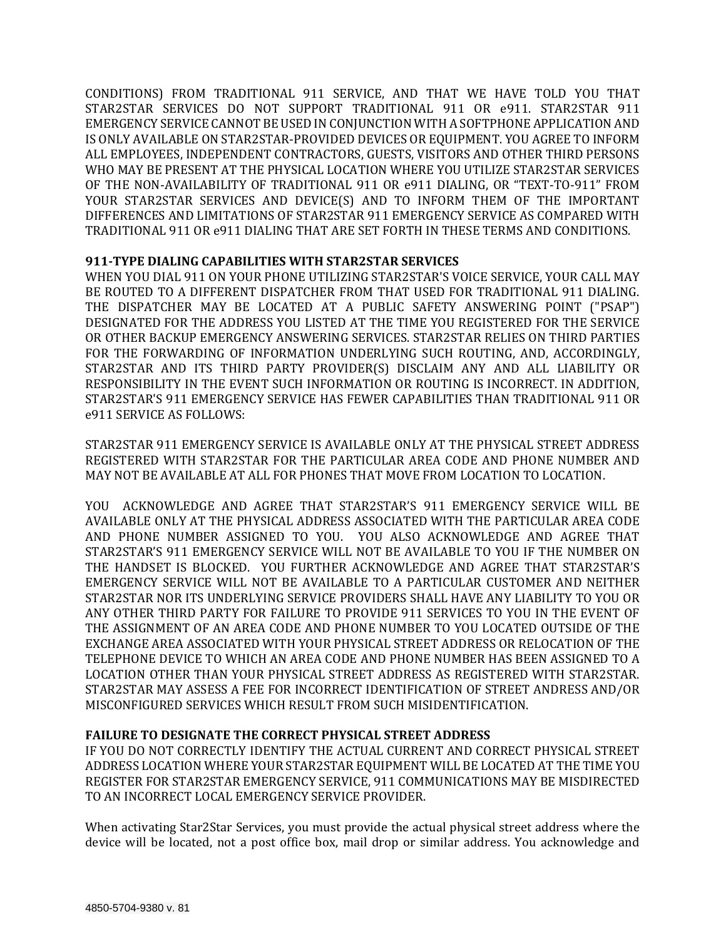CONDITIONS) FROM TRADITIONAL 911 SERVICE, AND THAT WE HAVE TOLD YOU THAT STAR2STAR SERVICES DO NOT SUPPORT TRADITIONAL 911 OR e911. STAR2STAR 911 EMERGENCY SERVICE CANNOT BE USED IN CONJUNCTION WITH A SOFTPHONE APPLICATION AND IS ONLY AVAILABLE ON STAR2STAR-PROVIDED DEVICES OR EQUIPMENT. YOU AGREE TO INFORM ALL EMPLOYEES, INDEPENDENT CONTRACTORS, GUESTS, VISITORS AND OTHER THIRD PERSONS WHO MAY BE PRESENT AT THE PHYSICAL LOCATION WHERE YOU UTILIZE STAR2STAR SERVICES OF THE NON-AVAILABILITY OF TRADITIONAL 911 OR e911 DIALING, OR "TEXT-TO-911" FROM YOUR STAR2STAR SERVICES AND DEVICE(S) AND TO INFORM THEM OF THE IMPORTANT DIFFERENCES AND LIMITATIONS OF STAR2STAR 911 EMERGENCY SERVICE AS COMPARED WITH TRADITIONAL 911 OR e911 DIALING THAT ARE SET FORTH IN THESE TERMS AND CONDITIONS.

# **911-TYPE DIALING CAPABILITIES WITH STAR2STAR SERVICES**

WHEN YOU DIAL 911 ON YOUR PHONE UTILIZING STAR2STAR'S VOICE SERVICE, YOUR CALL MAY BE ROUTED TO A DIFFERENT DISPATCHER FROM THAT USED FOR TRADITIONAL 911 DIALING. THE DISPATCHER MAY BE LOCATED AT A PUBLIC SAFETY ANSWERING POINT ("PSAP") DESIGNATED FOR THE ADDRESS YOU LISTED AT THE TIME YOU REGISTERED FOR THE SERVICE OR OTHER BACKUP EMERGENCY ANSWERING SERVICES. STAR2STAR RELIES ON THIRD PARTIES FOR THE FORWARDING OF INFORMATION UNDERLYING SUCH ROUTING, AND, ACCORDINGLY, STAR2STAR AND ITS THIRD PARTY PROVIDER(S) DISCLAIM ANY AND ALL LIABILITY OR RESPONSIBILITY IN THE EVENT SUCH INFORMATION OR ROUTING IS INCORRECT. IN ADDITION, STAR2STAR'S 911 EMERGENCY SERVICE HAS FEWER CAPABILITIES THAN TRADITIONAL 911 OR e911 SERVICE AS FOLLOWS:

STAR2STAR 911 EMERGENCY SERVICE IS AVAILABLE ONLY AT THE PHYSICAL STREET ADDRESS REGISTERED WITH STAR2STAR FOR THE PARTICULAR AREA CODE AND PHONE NUMBER AND MAY NOT BE AVAILABLE AT ALL FOR PHONES THAT MOVE FROM LOCATION TO LOCATION.

YOU ACKNOWLEDGE AND AGREE THAT STAR2STAR'S 911 EMERGENCY SERVICE WILL BE AVAILABLE ONLY AT THE PHYSICAL ADDRESS ASSOCIATED WITH THE PARTICULAR AREA CODE AND PHONE NUMBER ASSIGNED TO YOU. YOU ALSO ACKNOWLEDGE AND AGREE THAT STAR2STAR'S 911 EMERGENCY SERVICE WILL NOT BE AVAILABLE TO YOU IF THE NUMBER ON THE HANDSET IS BLOCKED. YOU FURTHER ACKNOWLEDGE AND AGREE THAT STAR2STAR'S EMERGENCY SERVICE WILL NOT BE AVAILABLE TO A PARTICULAR CUSTOMER AND NEITHER STAR2STAR NOR ITS UNDERLYING SERVICE PROVIDERS SHALL HAVE ANY LIABILITY TO YOU OR ANY OTHER THIRD PARTY FOR FAILURE TO PROVIDE 911 SERVICES TO YOU IN THE EVENT OF THE ASSIGNMENT OF AN AREA CODE AND PHONE NUMBER TO YOU LOCATED OUTSIDE OF THE EXCHANGE AREA ASSOCIATED WITH YOUR PHYSICAL STREET ADDRESS OR RELOCATION OF THE TELEPHONE DEVICE TO WHICH AN AREA CODE AND PHONE NUMBER HAS BEEN ASSIGNED TO A LOCATION OTHER THAN YOUR PHYSICAL STREET ADDRESS AS REGISTERED WITH STAR2STAR. STAR2STAR MAY ASSESS A FEE FOR INCORRECT IDENTIFICATION OF STREET ANDRESS AND/OR MISCONFIGURED SERVICES WHICH RESULT FROM SUCH MISIDENTIFICATION.

### **FAILURE TO DESIGNATE THE CORRECT PHYSICAL STREET ADDRESS**

IF YOU DO NOT CORRECTLY IDENTIFY THE ACTUAL CURRENT AND CORRECT PHYSICAL STREET ADDRESS LOCATION WHERE YOUR STAR2STAR EQUIPMENT WILL BE LOCATED AT THE TIME YOU REGISTER FOR STAR2STAR EMERGENCY SERVICE, 911 COMMUNICATIONS MAY BE MISDIRECTED TO AN INCORRECT LOCAL EMERGENCY SERVICE PROVIDER.

When activating Star2Star Services, you must provide the actual physical street address where the device will be located, not a post office box, mail drop or similar address. You acknowledge and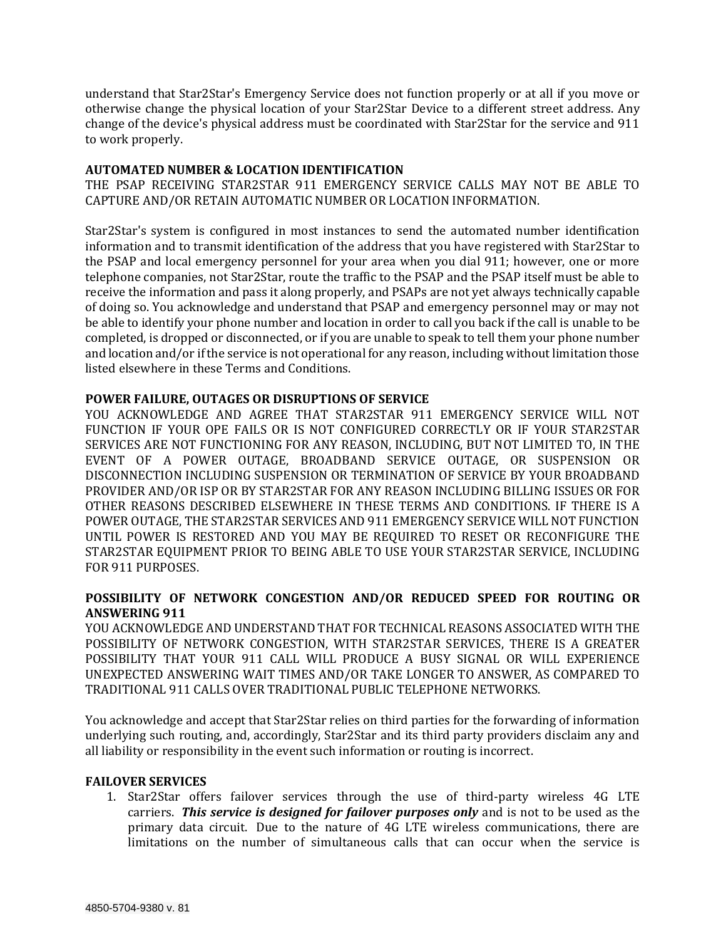understand that Star2Star's Emergency Service does not function properly or at all if you move or otherwise change the physical location of your Star2Star Device to a different street address. Any change of the device's physical address must be coordinated with Star2Star for the service and 911 to work properly.

### **AUTOMATED NUMBER & LOCATION IDENTIFICATION**

THE PSAP RECEIVING STAR2STAR 911 EMERGENCY SERVICE CALLS MAY NOT BE ABLE TO CAPTURE AND/OR RETAIN AUTOMATIC NUMBER OR LOCATION INFORMATION.

Star2Star's system is configured in most instances to send the automated number identification information and to transmit identification of the address that you have registered with Star2Star to the PSAP and local emergency personnel for your area when you dial 911; however, one or more telephone companies, not Star2Star, route the traffic to the PSAP and the PSAP itself must be able to receive the information and pass it along properly, and PSAPs are not yet always technically capable of doing so. You acknowledge and understand that PSAP and emergency personnel may or may not be able to identify your phone number and location in order to call you back if the call is unable to be completed, is dropped or disconnected, or if you are unable to speak to tell them your phone number and location and/or if the service is not operational for any reason, including without limitation those listed elsewhere in these Terms and Conditions.

### **POWER FAILURE, OUTAGES OR DISRUPTIONS OF SERVICE**

YOU ACKNOWLEDGE AND AGREE THAT STAR2STAR 911 EMERGENCY SERVICE WILL NOT FUNCTION IF YOUR OPE FAILS OR IS NOT CONFIGURED CORRECTLY OR IF YOUR STAR2STAR SERVICES ARE NOT FUNCTIONING FOR ANY REASON, INCLUDING, BUT NOT LIMITED TO, IN THE EVENT OF A POWER OUTAGE, BROADBAND SERVICE OUTAGE, OR SUSPENSION OR DISCONNECTION INCLUDING SUSPENSION OR TERMINATION OF SERVICE BY YOUR BROADBAND PROVIDER AND/OR ISP OR BY STAR2STAR FOR ANY REASON INCLUDING BILLING ISSUES OR FOR OTHER REASONS DESCRIBED ELSEWHERE IN THESE TERMS AND CONDITIONS. IF THERE IS A POWER OUTAGE, THE STAR2STAR SERVICES AND 911 EMERGENCY SERVICE WILL NOT FUNCTION UNTIL POWER IS RESTORED AND YOU MAY BE REQUIRED TO RESET OR RECONFIGURE THE STAR2STAR EQUIPMENT PRIOR TO BEING ABLE TO USE YOUR STAR2STAR SERVICE, INCLUDING FOR 911 PURPOSES.

# **POSSIBILITY OF NETWORK CONGESTION AND/OR REDUCED SPEED FOR ROUTING OR ANSWERING 911**

YOU ACKNOWLEDGE AND UNDERSTAND THAT FOR TECHNICAL REASONS ASSOCIATED WITH THE POSSIBILITY OF NETWORK CONGESTION, WITH STAR2STAR SERVICES, THERE IS A GREATER POSSIBILITY THAT YOUR 911 CALL WILL PRODUCE A BUSY SIGNAL OR WILL EXPERIENCE UNEXPECTED ANSWERING WAIT TIMES AND/OR TAKE LONGER TO ANSWER, AS COMPARED TO TRADITIONAL 911 CALLS OVER TRADITIONAL PUBLIC TELEPHONE NETWORKS.

You acknowledge and accept that Star2Star relies on third parties for the forwarding of information underlying such routing, and, accordingly, Star2Star and its third party providers disclaim any and all liability or responsibility in the event such information or routing is incorrect.

### **FAILOVER SERVICES**

1. Star2Star offers failover services through the use of third-party wireless 4G LTE carriers. *This service is designed for failover purposes only* and is not to be used as the primary data circuit. Due to the nature of 4G LTE wireless communications, there are limitations on the number of simultaneous calls that can occur when the service is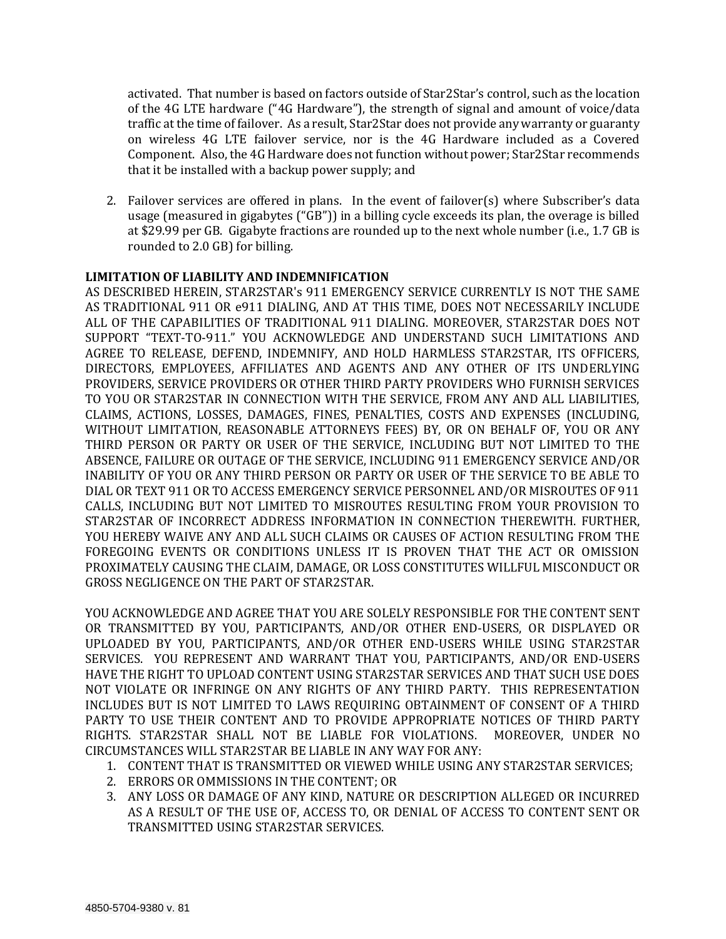activated. That number is based on factors outside of Star2Star's control, such as the location of the 4G LTE hardware ("4G Hardware"), the strength of signal and amount of voice/data traffic at the time of failover. As a result, Star2Star does not provide any warranty or guaranty on wireless 4G LTE failover service, nor is the 4G Hardware included as a Covered Component. Also, the 4G Hardware does not function without power; Star2Star recommends that it be installed with a backup power supply; and

2. Failover services are offered in plans. In the event of failover(s) where Subscriber's data usage (measured in gigabytes ("GB")) in a billing cycle exceeds its plan, the overage is billed at \$29.99 per GB. Gigabyte fractions are rounded up to the next whole number (i.e., 1.7 GB is rounded to 2.0 GB) for billing.

### **LIMITATION OF LIABILITY AND INDEMNIFICATION**

AS DESCRIBED HEREIN, STAR2STAR's 911 EMERGENCY SERVICE CURRENTLY IS NOT THE SAME AS TRADITIONAL 911 OR e911 DIALING, AND AT THIS TIME, DOES NOT NECESSARILY INCLUDE ALL OF THE CAPABILITIES OF TRADITIONAL 911 DIALING. MOREOVER, STAR2STAR DOES NOT SUPPORT "TEXT-TO-911." YOU ACKNOWLEDGE AND UNDERSTAND SUCH LIMITATIONS AND AGREE TO RELEASE, DEFEND, INDEMNIFY, AND HOLD HARMLESS STAR2STAR, ITS OFFICERS, DIRECTORS, EMPLOYEES, AFFILIATES AND AGENTS AND ANY OTHER OF ITS UNDERLYING PROVIDERS, SERVICE PROVIDERS OR OTHER THIRD PARTY PROVIDERS WHO FURNISH SERVICES TO YOU OR STAR2STAR IN CONNECTION WITH THE SERVICE, FROM ANY AND ALL LIABILITIES, CLAIMS, ACTIONS, LOSSES, DAMAGES, FINES, PENALTIES, COSTS AND EXPENSES (INCLUDING, WITHOUT LIMITATION, REASONABLE ATTORNEYS FEES) BY, OR ON BEHALF OF, YOU OR ANY THIRD PERSON OR PARTY OR USER OF THE SERVICE, INCLUDING BUT NOT LIMITED TO THE ABSENCE, FAILURE OR OUTAGE OF THE SERVICE, INCLUDING 911 EMERGENCY SERVICE AND/OR INABILITY OF YOU OR ANY THIRD PERSON OR PARTY OR USER OF THE SERVICE TO BE ABLE TO DIAL OR TEXT 911 OR TO ACCESS EMERGENCY SERVICE PERSONNEL AND/OR MISROUTES OF 911 CALLS, INCLUDING BUT NOT LIMITED TO MISROUTES RESULTING FROM YOUR PROVISION TO STAR2STAR OF INCORRECT ADDRESS INFORMATION IN CONNECTION THEREWITH. FURTHER, YOU HEREBY WAIVE ANY AND ALL SUCH CLAIMS OR CAUSES OF ACTION RESULTING FROM THE FOREGOING EVENTS OR CONDITIONS UNLESS IT IS PROVEN THAT THE ACT OR OMISSION PROXIMATELY CAUSING THE CLAIM, DAMAGE, OR LOSS CONSTITUTES WILLFUL MISCONDUCT OR GROSS NEGLIGENCE ON THE PART OF STAR2STAR.

YOU ACKNOWLEDGE AND AGREE THAT YOU ARE SOLELY RESPONSIBLE FOR THE CONTENT SENT OR TRANSMITTED BY YOU, PARTICIPANTS, AND/OR OTHER END-USERS, OR DISPLAYED OR UPLOADED BY YOU, PARTICIPANTS, AND/OR OTHER END-USERS WHILE USING STAR2STAR SERVICES. YOU REPRESENT AND WARRANT THAT YOU, PARTICIPANTS, AND/OR END-USERS HAVE THE RIGHT TO UPLOAD CONTENT USING STAR2STAR SERVICES AND THAT SUCH USE DOES NOT VIOLATE OR INFRINGE ON ANY RIGHTS OF ANY THIRD PARTY. THIS REPRESENTATION INCLUDES BUT IS NOT LIMITED TO LAWS REQUIRING OBTAINMENT OF CONSENT OF A THIRD PARTY TO USE THEIR CONTENT AND TO PROVIDE APPROPRIATE NOTICES OF THIRD PARTY RIGHTS. STAR2STAR SHALL NOT BE LIABLE FOR VIOLATIONS. MOREOVER, UNDER NO CIRCUMSTANCES WILL STAR2STAR BE LIABLE IN ANY WAY FOR ANY:

- 1. CONTENT THAT IS TRANSMITTED OR VIEWED WHILE USING ANY STAR2STAR SERVICES;
- 2. ERRORS OR OMMISSIONS IN THE CONTENT; OR
- 3. ANY LOSS OR DAMAGE OF ANY KIND, NATURE OR DESCRIPTION ALLEGED OR INCURRED AS A RESULT OF THE USE OF, ACCESS TO, OR DENIAL OF ACCESS TO CONTENT SENT OR TRANSMITTED USING STAR2STAR SERVICES.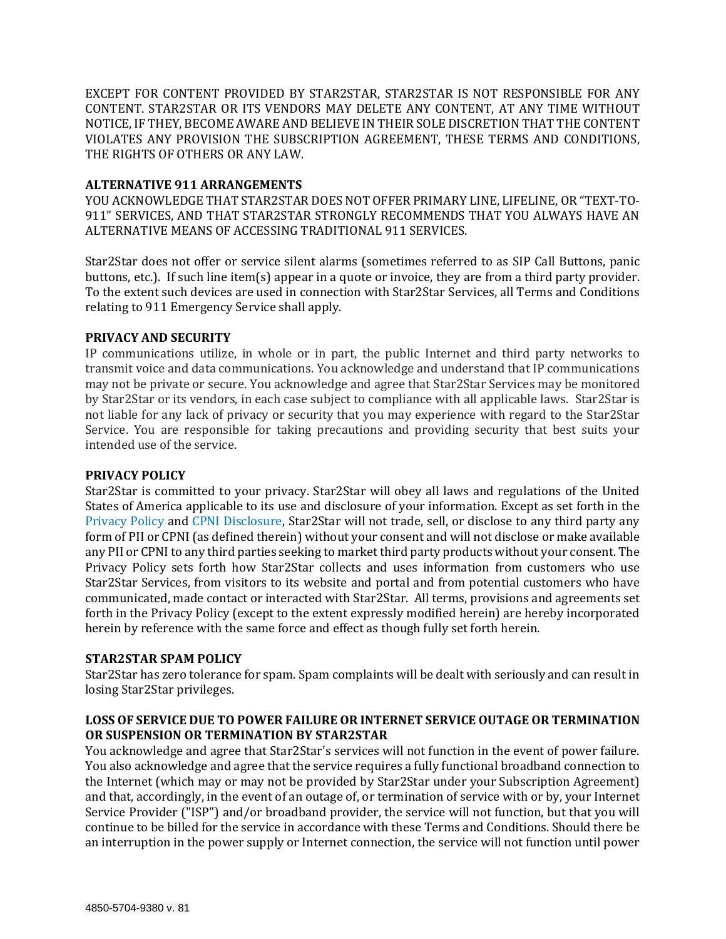EXCEPT FOR CONTENT PROVIDED BY STAR2STAR, STAR2STAR IS NOT RESPONSIBLE FOR ANY CONTENT. STAR2STAR OR ITS VENDORS MAY DELETE ANY CONTENT, AT ANY TIME WITHOUT NOTICE, IF THEY, BECOME AWARE AND BELIEVE IN THEIR SOLE DISCRETION THAT THE CONTENT VIOLATES ANY PROVISION THE SUBSCRIPTION AGREEMENT, THESE TERMS AND CONDITIONS, THE RIGHTS OF OTHERS OR ANY LAW.

## **ALTERNATIVE 911 ARRANGEMENTS**

YOU ACKNOWLEDGE THAT STAR2STAR DOES NOT OFFER PRIMARY LINE, LIFELINE, OR "TEXT-TO-911" SERVICES, AND THAT STAR2STAR STRONGLY RECOMMENDS THAT YOU ALWAYS HAVE AN ALTERNATIVE MEANS OF ACCESSING TRADITIONAL 911 SERVICES.

Star2Star does not offer or service silent alarms (sometimes referred to as SIP Call Buttons, panic buttons, etc.). If such line item(s) appear in a quote or invoice, they are from a third party provider. To the extent such devices are used in connection with Star2Star Services, all Terms and Conditions relating to 911 Emergency Service shall apply.

### **PRIVACY AND SECURITY**

IP communications utilize, in whole or in part, the public Internet and third party networks to transmit voice and data communications. You acknowledge and understand that IP communications may not be private or secure. You acknowledge and agree that Star2Star Services may be monitored by Star2Star or its vendors, in each case subject to compliance with all applicable laws. Star2Star is not liable for any lack of privacy or security that you may experience with regard to the Star2Star Service. You are responsible for taking precautions and providing security that best suits your intended use of the service.

## **PRIVACY POLICY**

Star2Star is committed to your privacy. Star2Star will obey all laws and regulations of the United States of America applicable to its use and disclosure of your information. Except as set forth in the [Privacy Policy](https://www.star2star.com/company/privacy-policy) and [CPNI Disclosure,](http://www.star2star.com/cpni-disclosure) Star2Star will not trade, sell, or disclose to any third party any form of PII or CPNI (as defined therein) without your consent and will not disclose or make available any PII or CPNI to any third parties seeking to market third party products without your consent. The Privacy Policy sets forth how Star2Star collects and uses information from customers who use Star2Star Services, from visitors to its website and portal and from potential customers who have communicated, made contact or interacted with Star2Star. All terms, provisions and agreements set forth in the Privacy Policy (except to the extent expressly modified herein) are hereby incorporated herein by reference with the same force and effect as though fully set forth herein.

# **STAR2STAR SPAM POLICY**

Star2Star has zero tolerance for spam. Spam complaints will be dealt with seriously and can result in losing Star2Star privileges.

# **LOSS OF SERVICE DUE TO POWER FAILURE OR INTERNET SERVICE OUTAGE OR TERMINATION OR SUSPENSION OR TERMINATION BY STAR2STAR**

You acknowledge and agree that Star2Star's services will not function in the event of power failure. You also acknowledge and agree that the service requires a fully functional broadband connection to the Internet (which may or may not be provided by Star2Star under your Subscription Agreement) and that, accordingly, in the event of an outage of, or termination of service with or by, your Internet Service Provider ("ISP") and/or broadband provider, the service will not function, but that you will continue to be billed for the service in accordance with these Terms and Conditions. Should there be an interruption in the power supply or Internet connection, the service will not function until power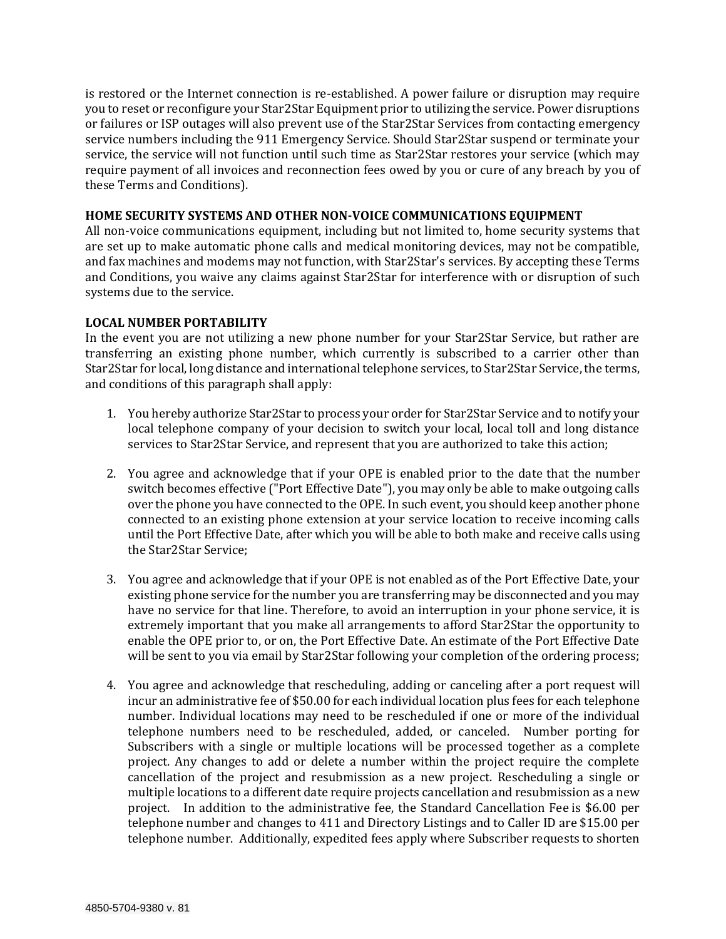is restored or the Internet connection is re-established. A power failure or disruption may require you to reset or reconfigure your Star2Star Equipment prior to utilizing the service. Power disruptions or failures or ISP outages will also prevent use of the Star2Star Services from contacting emergency service numbers including the 911 Emergency Service. Should Star2Star suspend or terminate your service, the service will not function until such time as Star2Star restores your service (which may require payment of all invoices and reconnection fees owed by you or cure of any breach by you of these Terms and Conditions).

# **HOME SECURITY SYSTEMS AND OTHER NON-VOICE COMMUNICATIONS EQUIPMENT**

All non-voice communications equipment, including but not limited to, home security systems that are set up to make automatic phone calls and medical monitoring devices, may not be compatible, and fax machines and modems may not function, with Star2Star's services. By accepting these Terms and Conditions, you waive any claims against Star2Star for interference with or disruption of such systems due to the service.

# **LOCAL NUMBER PORTABILITY**

In the event you are not utilizing a new phone number for your Star2Star Service, but rather are transferring an existing phone number, which currently is subscribed to a carrier other than Star2Star for local, long distance and international telephone services, to Star2Star Service, the terms, and conditions of this paragraph shall apply:

- 1. You hereby authorize Star2Star to process your order for Star2Star Service and to notify your local telephone company of your decision to switch your local, local toll and long distance services to Star2Star Service, and represent that you are authorized to take this action;
- 2. You agree and acknowledge that if your OPE is enabled prior to the date that the number switch becomes effective ("Port Effective Date"), you may only be able to make outgoing calls over the phone you have connected to the OPE. In such event, you should keep another phone connected to an existing phone extension at your service location to receive incoming calls until the Port Effective Date, after which you will be able to both make and receive calls using the Star2Star Service;
- 3. You agree and acknowledge that if your OPE is not enabled as of the Port Effective Date, your existing phone service for the number you are transferring may be disconnected and you may have no service for that line. Therefore, to avoid an interruption in your phone service, it is extremely important that you make all arrangements to afford Star2Star the opportunity to enable the OPE prior to, or on, the Port Effective Date. An estimate of the Port Effective Date will be sent to you via email by Star2Star following your completion of the ordering process;
- 4. You agree and acknowledge that rescheduling, adding or canceling after a port request will incur an administrative fee of \$50.00 for each individual location plus fees for each telephone number. Individual locations may need to be rescheduled if one or more of the individual telephone numbers need to be rescheduled, added, or canceled. Number porting for Subscribers with a single or multiple locations will be processed together as a complete project. Any changes to add or delete a number within the project require the complete cancellation of the project and resubmission as a new project. Rescheduling a single or multiple locations to a different date require projects cancellation and resubmission as a new project. In addition to the administrative fee, the Standard Cancellation Fee is \$6.00 per telephone number and changes to 411 and Directory Listings and to Caller ID are \$15.00 per telephone number. Additionally, expedited fees apply where Subscriber requests to shorten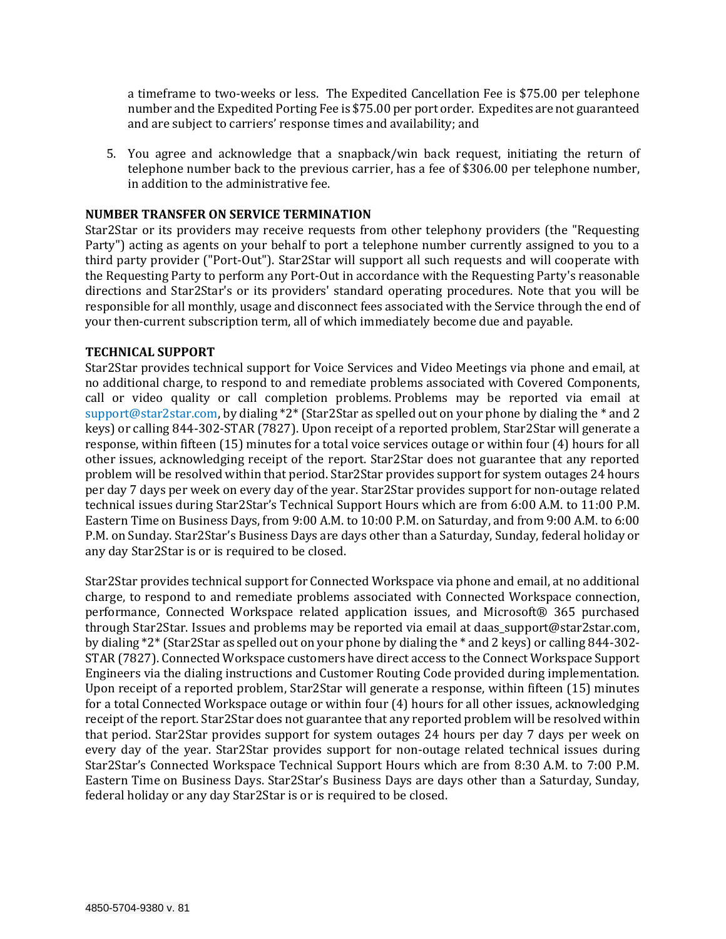a timeframe to two-weeks or less. The Expedited Cancellation Fee is \$75.00 per telephone number and the Expedited Porting Fee is \$75.00 per port order. Expedites are not guaranteed and are subject to carriers' response times and availability; and

5. You agree and acknowledge that a snapback/win back request, initiating the return of telephone number back to the previous carrier, has a fee of \$306.00 per telephone number, in addition to the administrative fee.

## **NUMBER TRANSFER ON SERVICE TERMINATION**

Star2Star or its providers may receive requests from other telephony providers (the "Requesting Party") acting as agents on your behalf to port a telephone number currently assigned to you to a third party provider ("Port-Out"). Star2Star will support all such requests and will cooperate with the Requesting Party to perform any Port-Out in accordance with the Requesting Party's reasonable directions and Star2Star's or its providers' standard operating procedures. Note that you will be responsible for all monthly, usage and disconnect fees associated with the Service through the end of your then-current subscription term, all of which immediately become due and payable.

### **TECHNICAL SUPPORT**

Star2Star provides technical support for Voice Services and Video Meetings via phone and email, at no additional charge, to respond to and remediate problems associated with Covered Components, call or video quality or call completion problems. Problems may be reported via email at [support@star2star.com,](mailto:support@star2star.com) by dialing \*2\* (Star2Star as spelled out on your phone by dialing the \* and 2 keys) or calling 844-302-STAR (7827). Upon receipt of a reported problem, Star2Star will generate a response, within fifteen (15) minutes for a total voice services outage or within four (4) hours for all other issues, acknowledging receipt of the report. Star2Star does not guarantee that any reported problem will be resolved within that period. Star2Star provides support for system outages 24 hours per day 7 days per week on every day of the year. Star2Star provides support for non-outage related technical issues during Star2Star's Technical Support Hours which are from 6:00 A.M. to 11:00 P.M. Eastern Time on Business Days, from 9:00 A.M. to 10:00 P.M. on Saturday, and from 9:00 A.M. to 6:00 P.M. on Sunday. Star2Star's Business Days are days other than a Saturday, Sunday, federal holiday or any day Star2Star is or is required to be closed.

Star2Star provides technical support for Connected Workspace via phone and email, at no additional charge, to respond to and remediate problems associated with Connected Workspace connection, performance, Connected Workspace related application issues, and Microsoft® 365 purchased through Star2Star. Issues and problems may be reported via email at daas\_support@star2star.com, by dialing \*2\* (Star2Star as spelled out on your phone by dialing the \* and 2 keys) or calling 844-302- STAR (7827). Connected Workspace customers have direct access to the Connect Workspace Support Engineers via the dialing instructions and Customer Routing Code provided during implementation. Upon receipt of a reported problem, Star2Star will generate a response, within fifteen (15) minutes for a total Connected Workspace outage or within four (4) hours for all other issues, acknowledging receipt of the report. Star2Star does not guarantee that any reported problem will be resolved within that period. Star2Star provides support for system outages 24 hours per day 7 days per week on every day of the year. Star2Star provides support for non-outage related technical issues during Star2Star's Connected Workspace Technical Support Hours which are from 8:30 A.M. to 7:00 P.M. Eastern Time on Business Days. Star2Star's Business Days are days other than a Saturday, Sunday, federal holiday or any day Star2Star is or is required to be closed.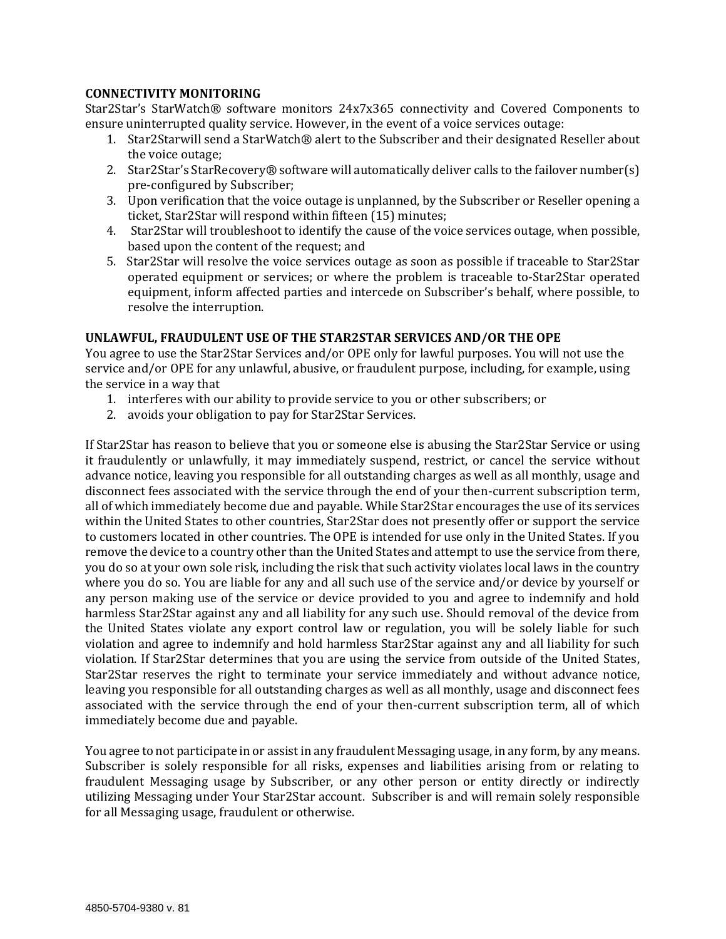# **CONNECTIVITY MONITORING**

Star2Star's StarWatch® software monitors 24x7x365 connectivity and Covered Components to ensure uninterrupted quality service. However, in the event of a voice services outage:

- 1. Star2Starwill send a StarWatch® alert to the Subscriber and their designated Reseller about the voice outage;
- 2. Star2Star's StarRecovery® software will automatically deliver calls to the failover number(s) pre-configured by Subscriber;
- 3. Upon verification that the voice outage is unplanned, by the Subscriber or Reseller opening a ticket, Star2Star will respond within fifteen (15) minutes;
- 4. Star2Star will troubleshoot to identify the cause of the voice services outage, when possible, based upon the content of the request; and
- 5. Star2Star will resolve the voice services outage as soon as possible if traceable to Star2Star operated equipment or services; or where the problem is traceable to‐Star2Star operated equipment, inform affected parties and intercede on Subscriber's behalf, where possible, to resolve the interruption.

# **UNLAWFUL, FRAUDULENT USE OF THE STAR2STAR SERVICES AND/OR THE OPE**

You agree to use the Star2Star Services and/or OPE only for lawful purposes. You will not use the service and/or OPE for any unlawful, abusive, or fraudulent purpose, including, for example, using the service in a way that

- 1. interferes with our ability to provide service to you or other subscribers; or
- 2. avoids your obligation to pay for Star2Star Services.

If Star2Star has reason to believe that you or someone else is abusing the Star2Star Service or using it fraudulently or unlawfully, it may immediately suspend, restrict, or cancel the service without advance notice, leaving you responsible for all outstanding charges as well as all monthly, usage and disconnect fees associated with the service through the end of your then-current subscription term, all of which immediately become due and payable. While Star2Star encourages the use of its services within the United States to other countries, Star2Star does not presently offer or support the service to customers located in other countries. The OPE is intended for use only in the United States. If you remove the device to a country other than the United States and attempt to use the service from there, you do so at your own sole risk, including the risk that such activity violates local laws in the country where you do so. You are liable for any and all such use of the service and/or device by yourself or any person making use of the service or device provided to you and agree to indemnify and hold harmless Star2Star against any and all liability for any such use. Should removal of the device from the United States violate any export control law or regulation, you will be solely liable for such violation and agree to indemnify and hold harmless Star2Star against any and all liability for such violation. If Star2Star determines that you are using the service from outside of the United States, Star2Star reserves the right to terminate your service immediately and without advance notice, leaving you responsible for all outstanding charges as well as all monthly, usage and disconnect fees associated with the service through the end of your then-current subscription term, all of which immediately become due and payable.

You agree to not participate in or assist in any fraudulent Messaging usage, in any form, by any means. Subscriber is solely responsible for all risks, expenses and liabilities arising from or relating to fraudulent Messaging usage by Subscriber, or any other person or entity directly or indirectly utilizing Messaging under Your Star2Star account. Subscriber is and will remain solely responsible for all Messaging usage, fraudulent or otherwise.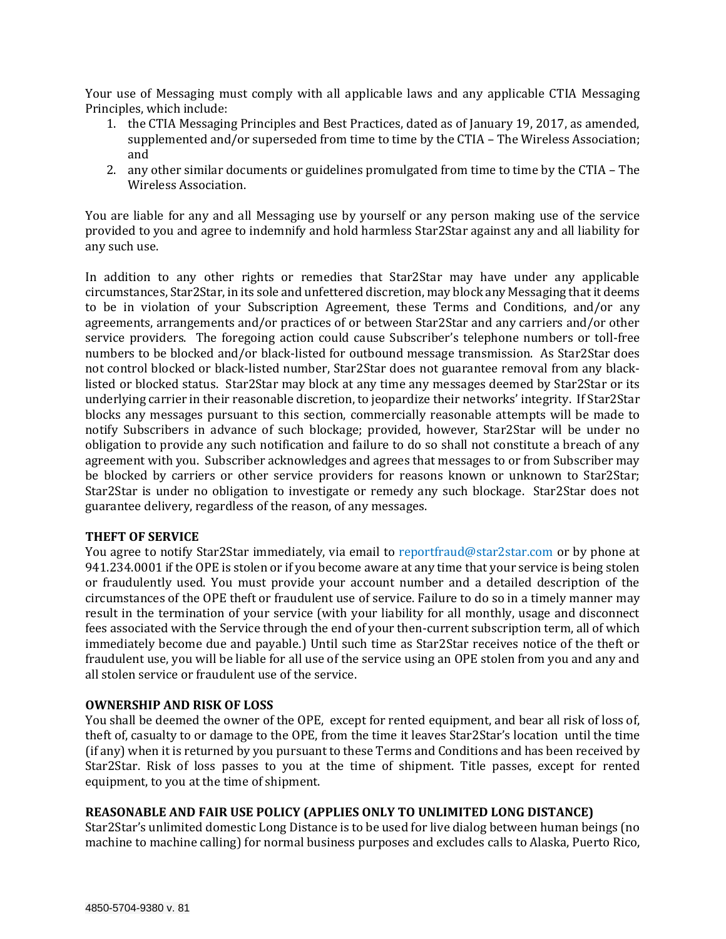Your use of Messaging must comply with all applicable laws and any applicable CTIA Messaging Principles, which include:

- 1. the CTIA Messaging Principles and Best Practices, dated as of January 19, 2017, as amended, supplemented and/or superseded from time to time by the CTIA – The Wireless Association; and
- 2. any other similar documents or guidelines promulgated from time to time by the CTIA The Wireless Association.

You are liable for any and all Messaging use by yourself or any person making use of the service provided to you and agree to indemnify and hold harmless Star2Star against any and all liability for any such use.

In addition to any other rights or remedies that Star2Star may have under any applicable circumstances, Star2Star, in its sole and unfettered discretion, may block any Messaging that it deems to be in violation of your Subscription Agreement, these Terms and Conditions, and/or any agreements, arrangements and/or practices of or between Star2Star and any carriers and/or other service providers. The foregoing action could cause Subscriber's telephone numbers or toll-free numbers to be blocked and/or black-listed for outbound message transmission. As Star2Star does not control blocked or black-listed number, Star2Star does not guarantee removal from any blacklisted or blocked status. Star2Star may block at any time any messages deemed by Star2Star or its underlying carrier in their reasonable discretion, to jeopardize their networks' integrity. If Star2Star blocks any messages pursuant to this section, commercially reasonable attempts will be made to notify Subscribers in advance of such blockage; provided, however, Star2Star will be under no obligation to provide any such notification and failure to do so shall not constitute a breach of any agreement with you. Subscriber acknowledges and agrees that messages to or from Subscriber may be blocked by carriers or other service providers for reasons known or unknown to Star2Star; Star2Star is under no obligation to investigate or remedy any such blockage. Star2Star does not guarantee delivery, regardless of the reason, of any messages.

### **THEFT OF SERVICE**

You agree to notify Star2Star immediately, via email to [reportfraud@star2star.com](mailto:reportfraud@star2star.com) or by phone at 941.234.0001 if the OPE is stolen or if you become aware at any time that your service is being stolen or fraudulently used. You must provide your account number and a detailed description of the circumstances of the OPE theft or fraudulent use of service. Failure to do so in a timely manner may result in the termination of your service (with your liability for all monthly, usage and disconnect fees associated with the Service through the end of your then-current subscription term, all of which immediately become due and payable.) Until such time as Star2Star receives notice of the theft or fraudulent use, you will be liable for all use of the service using an OPE stolen from you and any and all stolen service or fraudulent use of the service.

### **OWNERSHIP AND RISK OF LOSS**

You shall be deemed the owner of the OPE, except for rented equipment, and bear all risk of loss of, theft of, casualty to or damage to the OPE, from the time it leaves Star2Star's location until the time (if any) when it is returned by you pursuant to these Terms and Conditions and has been received by Star2Star. Risk of loss passes to you at the time of shipment. Title passes, except for rented equipment, to you at the time of shipment.

# **REASONABLE AND FAIR USE POLICY (APPLIES ONLY TO UNLIMITED LONG DISTANCE)**

Star2Star's unlimited domestic Long Distance is to be used for live dialog between human beings (no machine to machine calling) for normal business purposes and excludes calls to Alaska, Puerto Rico,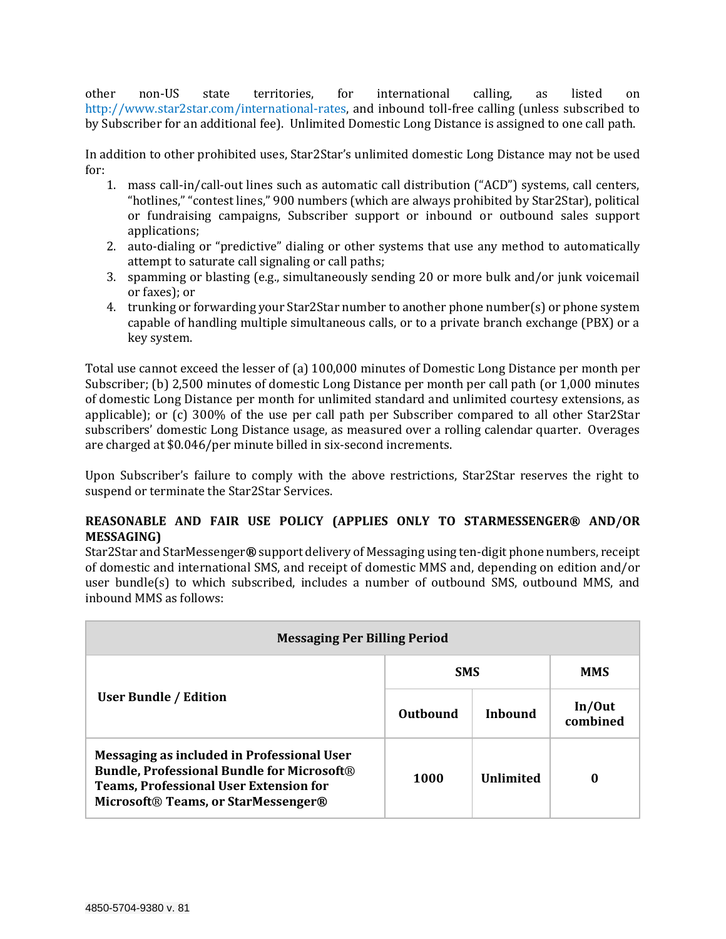other non-US state territories, for international calling, as listed on [http://www.star2star.com/international-rates,](http://www.star2star.com/international-rates) and inbound toll-free calling (unless subscribed to by Subscriber for an additional fee). Unlimited Domestic Long Distance is assigned to one call path.

In addition to other prohibited uses, Star2Star's unlimited domestic Long Distance may not be used for:

- 1. mass call-in/call-out lines such as automatic call distribution ("ACD") systems, call centers, "hotlines," "contest lines," 900 numbers (which are always prohibited by Star2Star), political or fundraising campaigns, Subscriber support or inbound or outbound sales support applications;
- 2. auto-dialing or "predictive" dialing or other systems that use any method to automatically attempt to saturate call signaling or call paths;
- 3. spamming or blasting (e.g., simultaneously sending 20 or more bulk and/or junk voicemail or faxes); or
- 4. trunking or forwarding your Star2Star number to another phone number(s) or phone system capable of handling multiple simultaneous calls, or to a private branch exchange (PBX) or a key system.

Total use cannot exceed the lesser of (a) 100,000 minutes of Domestic Long Distance per month per Subscriber; (b) 2,500 minutes of domestic Long Distance per month per call path (or 1,000 minutes of domestic Long Distance per month for unlimited standard and unlimited courtesy extensions, as applicable); or (c) 300% of the use per call path per Subscriber compared to all other Star2Star subscribers' domestic Long Distance usage, as measured over a rolling calendar quarter. Overages are charged at \$0.046/per minute billed in six-second increments.

Upon Subscriber's failure to comply with the above restrictions, Star2Star reserves the right to suspend or terminate the Star2Star Services.

# **REASONABLE AND FAIR USE POLICY (APPLIES ONLY TO STARMESSENGER® AND/OR MESSAGING)**

Star2Star and StarMessenger**®** support delivery of Messaging using ten-digit phone numbers, receipt of domestic and international SMS, and receipt of domestic MMS and, depending on edition and/or user bundle(s) to which subscribed, includes a number of outbound SMS, outbound MMS, and inbound MMS as follows:

| <b>Messaging Per Billing Period</b>                                                                                                                                                     |            |                  |                    |  |
|-----------------------------------------------------------------------------------------------------------------------------------------------------------------------------------------|------------|------------------|--------------------|--|
| <b>User Bundle / Edition</b>                                                                                                                                                            | <b>SMS</b> |                  | <b>MMS</b>         |  |
|                                                                                                                                                                                         | Outhound   | Inhound          | In/Out<br>combined |  |
| Messaging as included in Professional User<br><b>Bundle, Professional Bundle for Microsoft®</b><br><b>Teams, Professional User Extension for</b><br>Microsoft® Teams, or StarMessenger® | 1000       | <b>Unlimited</b> | 0                  |  |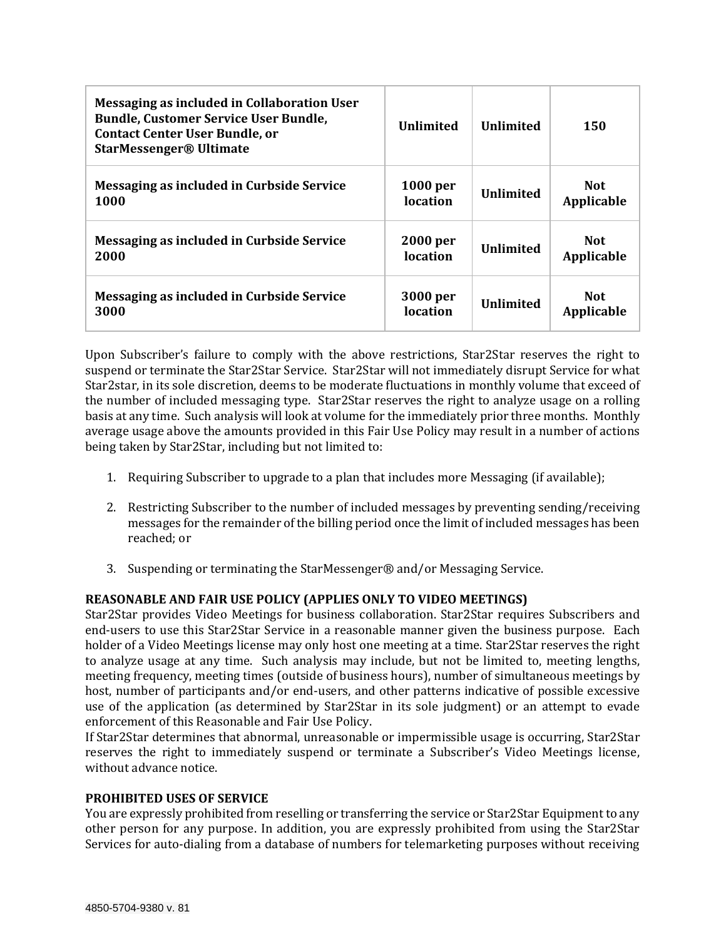| Messaging as included in Collaboration User<br><b>Bundle, Customer Service User Bundle,</b><br><b>Contact Center User Bundle, or</b><br><b>StarMessenger® Ultimate</b> | <b>Unlimited</b> | <b>Unlimited</b> | 150        |
|------------------------------------------------------------------------------------------------------------------------------------------------------------------------|------------------|------------------|------------|
| Messaging as included in Curbside Service                                                                                                                              | <b>1000 per</b>  | <b>Unlimited</b> | <b>Not</b> |
| 1000                                                                                                                                                                   | location         |                  | Applicable |
| Messaging as included in Curbside Service                                                                                                                              | 2000 per         | <b>Unlimited</b> | <b>Not</b> |
| 2000                                                                                                                                                                   | location         |                  | Applicable |
| Messaging as included in Curbside Service                                                                                                                              | 3000 per         | <b>Unlimited</b> | <b>Not</b> |
| 3000                                                                                                                                                                   | location         |                  | Applicable |

Upon Subscriber's failure to comply with the above restrictions, Star2Star reserves the right to suspend or terminate the Star2Star Service. Star2Star will not immediately disrupt Service for what Star2star, in its sole discretion, deems to be moderate fluctuations in monthly volume that exceed of the number of included messaging type. Star2Star reserves the right to analyze usage on a rolling basis at any time. Such analysis will look at volume for the immediately prior three months. Monthly average usage above the amounts provided in this Fair Use Policy may result in a number of actions being taken by Star2Star, including but not limited to:

- 1. Requiring Subscriber to upgrade to a plan that includes more Messaging (if available);
- 2. Restricting Subscriber to the number of included messages by preventing sending/receiving messages for the remainder of the billing period once the limit of included messages has been reached; or
- 3. Suspending or terminating the StarMessenger® and/or Messaging Service.

# **REASONABLE AND FAIR USE POLICY (APPLIES ONLY TO VIDEO MEETINGS)**

Star2Star provides Video Meetings for business collaboration. Star2Star requires Subscribers and end-users to use this Star2Star Service in a reasonable manner given the business purpose. Each holder of a Video Meetings license may only host one meeting at a time. Star2Star reserves the right to analyze usage at any time. Such analysis may include, but not be limited to, meeting lengths, meeting frequency, meeting times (outside of business hours), number of simultaneous meetings by host, number of participants and/or end-users, and other patterns indicative of possible excessive use of the application (as determined by Star2Star in its sole judgment) or an attempt to evade enforcement of this Reasonable and Fair Use Policy.

If Star2Star determines that abnormal, unreasonable or impermissible usage is occurring, Star2Star reserves the right to immediately suspend or terminate a Subscriber's Video Meetings license, without advance notice.

### **PROHIBITED USES OF SERVICE**

You are expressly prohibited from reselling or transferring the service or Star2Star Equipment to any other person for any purpose. In addition, you are expressly prohibited from using the Star2Star Services for auto-dialing from a database of numbers for telemarketing purposes without receiving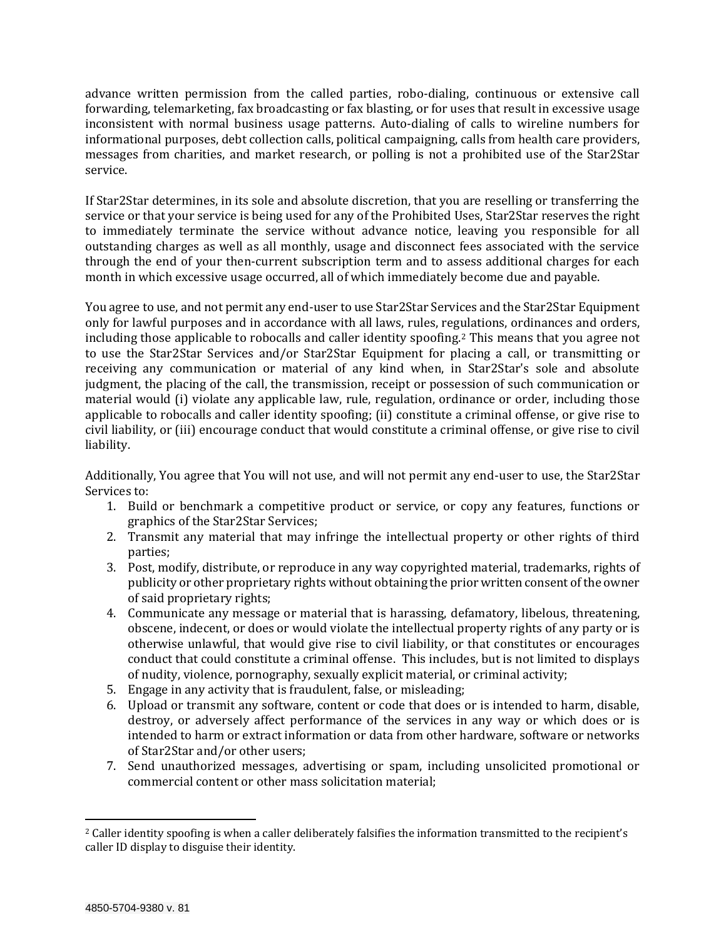advance written permission from the called parties, robo-dialing, continuous or extensive call forwarding, telemarketing, fax broadcasting or fax blasting, or for uses that result in excessive usage inconsistent with normal business usage patterns. Auto-dialing of calls to wireline numbers for informational purposes, debt collection calls, political campaigning, calls from health care providers, messages from charities, and market research, or polling is not a prohibited use of the Star2Star service.

If Star2Star determines, in its sole and absolute discretion, that you are reselling or transferring the service or that your service is being used for any of the Prohibited Uses, Star2Star reserves the right to immediately terminate the service without advance notice, leaving you responsible for all outstanding charges as well as all monthly, usage and disconnect fees associated with the service through the end of your then-current subscription term and to assess additional charges for each month in which excessive usage occurred, all of which immediately become due and payable.

You agree to use, and not permit any end-user to use Star2Star Services and the Star2Star Equipment only for lawful purposes and in accordance with all laws, rules, regulations, ordinances and orders, including those applicable to robocalls and caller identity spoofing. <sup>2</sup> This means that you agree not to use the Star2Star Services and/or Star2Star Equipment for placing a call, or transmitting or receiving any communication or material of any kind when, in Star2Star's sole and absolute judgment, the placing of the call, the transmission, receipt or possession of such communication or material would (i) violate any applicable law, rule, regulation, ordinance or order, including those applicable to robocalls and caller identity spoofing; (ii) constitute a criminal offense, or give rise to civil liability, or (iii) encourage conduct that would constitute a criminal offense, or give rise to civil liability.

Additionally, You agree that You will not use, and will not permit any end-user to use, the Star2Star Services to:

- 1. Build or benchmark a competitive product or service, or copy any features, functions or graphics of the Star2Star Services;
- 2. Transmit any material that may infringe the intellectual property or other rights of third parties;
- 3. Post, modify, distribute, or reproduce in any way copyrighted material, trademarks, rights of publicity or other proprietary rights without obtaining the prior written consent of the owner of said proprietary rights;
- 4. Communicate any message or material that is harassing, defamatory, libelous, threatening, obscene, indecent, or does or would violate the intellectual property rights of any party or is otherwise unlawful, that would give rise to civil liability, or that constitutes or encourages conduct that could constitute a criminal offense. This includes, but is not limited to displays of nudity, violence, pornography, sexually explicit material, or criminal activity;
- 5. Engage in any activity that is fraudulent, false, or misleading;
- 6. Upload or transmit any software, content or code that does or is intended to harm, disable, destroy, or adversely affect performance of the services in any way or which does or is intended to harm or extract information or data from other hardware, software or networks of Star2Star and/or other users;
- 7. Send unauthorized messages, advertising or spam, including unsolicited promotional or commercial content or other mass solicitation material;

 $\overline{\phantom{a}}$ 

<sup>&</sup>lt;sup>2</sup> Caller identity spoofing is when a caller deliberately falsifies the information transmitted to the recipient's caller ID display to disguise their identity.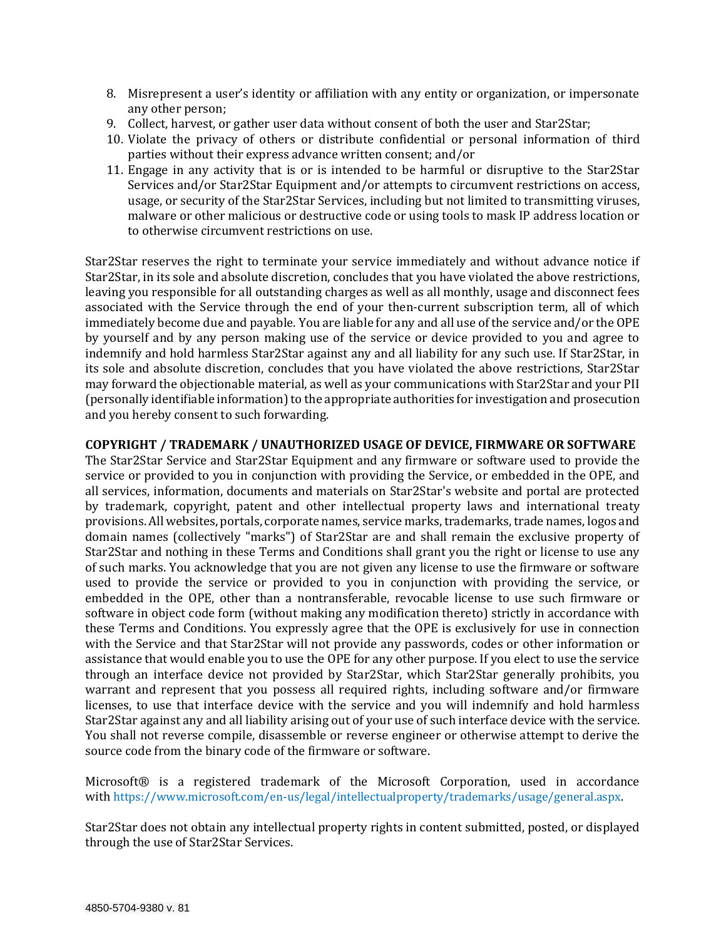- 8. Misrepresent a user's identity or affiliation with any entity or organization, or impersonate any other person;
- 9. Collect, harvest, or gather user data without consent of both the user and Star2Star;
- 10. Violate the privacy of others or distribute confidential or personal information of third parties without their express advance written consent; and/or
- 11. Engage in any activity that is or is intended to be harmful or disruptive to the Star2Star Services and/or Star2Star Equipment and/or attempts to circumvent restrictions on access, usage, or security of the Star2Star Services, including but not limited to transmitting viruses, malware or other malicious or destructive code or using tools to mask IP address location or to otherwise circumvent restrictions on use.

Star2Star reserves the right to terminate your service immediately and without advance notice if Star2Star, in its sole and absolute discretion, concludes that you have violated the above restrictions, leaving you responsible for all outstanding charges as well as all monthly, usage and disconnect fees associated with the Service through the end of your then-current subscription term, all of which immediately become due and payable. You are liable for any and all use of the service and/or the OPE by yourself and by any person making use of the service or device provided to you and agree to indemnify and hold harmless Star2Star against any and all liability for any such use. If Star2Star, in its sole and absolute discretion, concludes that you have violated the above restrictions, Star2Star may forward the objectionable material, as well as your communications with Star2Star and your PII (personally identifiable information) to the appropriate authorities for investigation and prosecution and you hereby consent to such forwarding.

# **COPYRIGHT / TRADEMARK / UNAUTHORIZED USAGE OF DEVICE, FIRMWARE OR SOFTWARE**

The Star2Star Service and Star2Star Equipment and any firmware or software used to provide the service or provided to you in conjunction with providing the Service, or embedded in the OPE, and all services, information, documents and materials on Star2Star's website and portal are protected by trademark, copyright, patent and other intellectual property laws and international treaty provisions. All websites, portals, corporate names, service marks, trademarks, trade names, logos and domain names (collectively "marks") of Star2Star are and shall remain the exclusive property of Star2Star and nothing in these Terms and Conditions shall grant you the right or license to use any of such marks. You acknowledge that you are not given any license to use the firmware or software used to provide the service or provided to you in conjunction with providing the service, or embedded in the OPE, other than a nontransferable, revocable license to use such firmware or software in object code form (without making any modification thereto) strictly in accordance with these Terms and Conditions. You expressly agree that the OPE is exclusively for use in connection with the Service and that Star2Star will not provide any passwords, codes or other information or assistance that would enable you to use the OPE for any other purpose. If you elect to use the service through an interface device not provided by Star2Star, which Star2Star generally prohibits, you warrant and represent that you possess all required rights, including software and/or firmware licenses, to use that interface device with the service and you will indemnify and hold harmless Star2Star against any and all liability arising out of your use of such interface device with the service. You shall not reverse compile, disassemble or reverse engineer or otherwise attempt to derive the source code from the binary code of the firmware or software.

Microsoft® is a registered trademark of the Microsoft Corporation, used in accordance with [https://www.microsoft.com/en-us/legal/intellectualproperty/trademarks/usage/general.aspx.](https://www.microsoft.com/en-us/legal/intellectualproperty/trademarks/usage/general.aspx)

Star2Star does not obtain any intellectual property rights in content submitted, posted, or displayed through the use of Star2Star Services.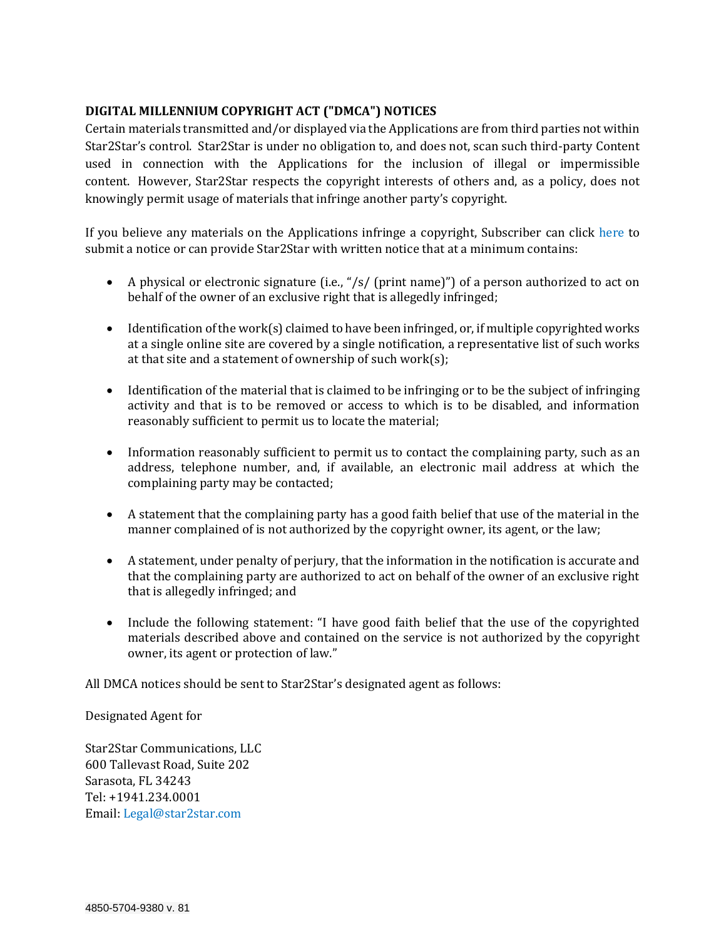# **DIGITAL MILLENNIUM COPYRIGHT ACT ("DMCA") NOTICES**

Certain materials transmitted and/or displayed via the Applications are from third parties not within Star2Star's control. Star2Star is under no obligation to, and does not, scan such third-party Content used in connection with the Applications for the inclusion of illegal or impermissible content. However, Star2Star respects the copyright interests of others and, as a policy, does not knowingly permit usage of materials that infringe another party's copyright.

If you believe any materials on the Applications infringe a copyright, Subscriber can click [here](https://privacyportal.onetrust.com/webform/daae7b28-0c59-4224-add8-419d944314c4/7d8d1161-e1a0-460c-834b-36150f9ef53b) to submit a notice or can provide Star2Star with written notice that at a minimum contains:

- A physical or electronic signature (i.e., "/s/ (print name)") of a person authorized to act on behalf of the owner of an exclusive right that is allegedly infringed;
- $\bullet$  Identification of the work(s) claimed to have been infringed, or, if multiple copyrighted works at a single online site are covered by a single notification, a representative list of such works at that site and a statement of ownership of such work(s);
- Identification of the material that is claimed to be infringing or to be the subject of infringing activity and that is to be removed or access to which is to be disabled, and information reasonably sufficient to permit us to locate the material;
- Information reasonably sufficient to permit us to contact the complaining party, such as an address, telephone number, and, if available, an electronic mail address at which the complaining party may be contacted;
- A statement that the complaining party has a good faith belief that use of the material in the manner complained of is not authorized by the copyright owner, its agent, or the law;
- A statement, under penalty of perjury, that the information in the notification is accurate and that the complaining party are authorized to act on behalf of the owner of an exclusive right that is allegedly infringed; and
- Include the following statement: "I have good faith belief that the use of the copyrighted materials described above and contained on the service is not authorized by the copyright owner, its agent or protection of law."

All DMCA notices should be sent to Star2Star's designated agent as follows:

Designated Agent for

Star2Star Communications, LLC 600 Tallevast Road, Suite 202 Sarasota, FL 34243 Tel: +1941.234.0001 Email: [Legal@star2star.com](mailto:Legal@star2star.com)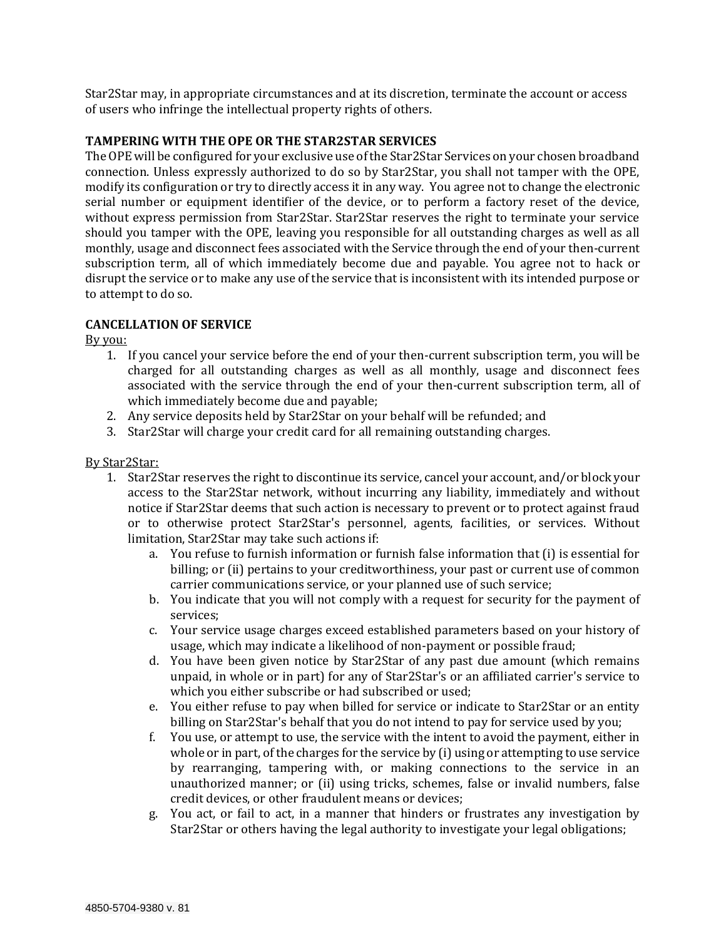Star2Star may, in appropriate circumstances and at its discretion, terminate the account or access of users who infringe the intellectual property rights of others.

### **TAMPERING WITH THE OPE OR THE STAR2STAR SERVICES**

The OPE will be configured for your exclusive use of the Star2Star Services on your chosen broadband connection. Unless expressly authorized to do so by Star2Star, you shall not tamper with the OPE, modify its configuration or try to directly access it in any way. You agree not to change the electronic serial number or equipment identifier of the device, or to perform a factory reset of the device, without express permission from Star2Star. Star2Star reserves the right to terminate your service should you tamper with the OPE, leaving you responsible for all outstanding charges as well as all monthly, usage and disconnect fees associated with the Service through the end of your then-current subscription term, all of which immediately become due and payable. You agree not to hack or disrupt the service or to make any use of the service that is inconsistent with its intended purpose or to attempt to do so.

# **CANCELLATION OF SERVICE**

By you:

- 1. If you cancel your service before the end of your then-current subscription term, you will be charged for all outstanding charges as well as all monthly, usage and disconnect fees associated with the service through the end of your then-current subscription term, all of which immediately become due and payable;
- 2. Any service deposits held by Star2Star on your behalf will be refunded; and
- 3. Star2Star will charge your credit card for all remaining outstanding charges.

### By Star2Star:

- 1. Star2Star reserves the right to discontinue its service, cancel your account, and/or block your access to the Star2Star network, without incurring any liability, immediately and without notice if Star2Star deems that such action is necessary to prevent or to protect against fraud or to otherwise protect Star2Star's personnel, agents, facilities, or services. Without limitation, Star2Star may take such actions if:
	- a. You refuse to furnish information or furnish false information that (i) is essential for billing; or (ii) pertains to your creditworthiness, your past or current use of common carrier communications service, or your planned use of such service;
	- b. You indicate that you will not comply with a request for security for the payment of services;
	- c. Your service usage charges exceed established parameters based on your history of usage, which may indicate a likelihood of non-payment or possible fraud;
	- d. You have been given notice by Star2Star of any past due amount (which remains unpaid, in whole or in part) for any of Star2Star's or an affiliated carrier's service to which you either subscribe or had subscribed or used;
	- e. You either refuse to pay when billed for service or indicate to Star2Star or an entity billing on Star2Star's behalf that you do not intend to pay for service used by you;
	- f. You use, or attempt to use, the service with the intent to avoid the payment, either in whole or in part, of the charges for the service by (i) using or attempting to use service by rearranging, tampering with, or making connections to the service in an unauthorized manner; or (ii) using tricks, schemes, false or invalid numbers, false credit devices, or other fraudulent means or devices;
	- g. You act, or fail to act, in a manner that hinders or frustrates any investigation by Star2Star or others having the legal authority to investigate your legal obligations;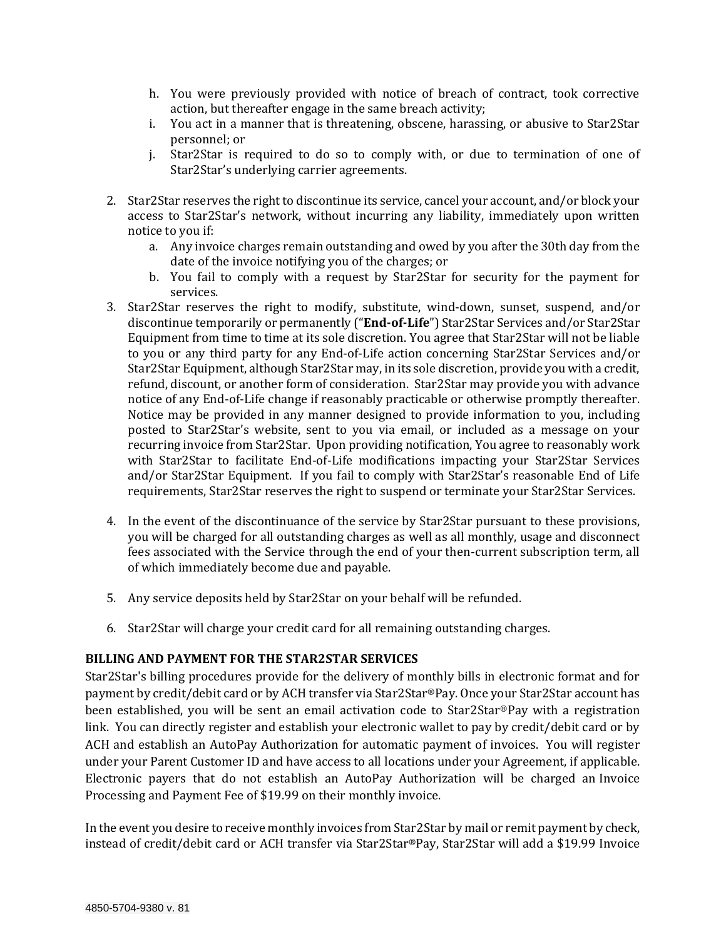- h. You were previously provided with notice of breach of contract, took corrective action, but thereafter engage in the same breach activity;
- i. You act in a manner that is threatening, obscene, harassing, or abusive to Star2Star personnel; or
- j. Star2Star is required to do so to comply with, or due to termination of one of Star2Star's underlying carrier agreements.
- 2. Star2Star reserves the right to discontinue its service, cancel your account, and/or block your access to Star2Star's network, without incurring any liability, immediately upon written notice to you if:
	- a. Any invoice charges remain outstanding and owed by you after the 30th day from the date of the invoice notifying you of the charges; or
	- b. You fail to comply with a request by Star2Star for security for the payment for services.
- 3. Star2Star reserves the right to modify, substitute, wind-down, sunset, suspend, and/or discontinue temporarily or permanently ("**End-of-Life**") Star2Star Services and/or Star2Star Equipment from time to time at its sole discretion. You agree that Star2Star will not be liable to you or any third party for any End-of-Life action concerning Star2Star Services and/or Star2Star Equipment, although Star2Star may, in its sole discretion, provide you with a credit, refund, discount, or another form of consideration. Star2Star may provide you with advance notice of any End-of-Life change if reasonably practicable or otherwise promptly thereafter. Notice may be provided in any manner designed to provide information to you, including posted to Star2Star's website, sent to you via email, or included as a message on your recurring invoice from Star2Star. Upon providing notification, You agree to reasonably work with Star2Star to facilitate End-of-Life modifications impacting your Star2Star Services and/or Star2Star Equipment. If you fail to comply with Star2Star's reasonable End of Life requirements, Star2Star reserves the right to suspend or terminate your Star2Star Services.
- 4. In the event of the discontinuance of the service by Star2Star pursuant to these provisions, you will be charged for all outstanding charges as well as all monthly, usage and disconnect fees associated with the Service through the end of your then-current subscription term, all of which immediately become due and payable.
- 5. Any service deposits held by Star2Star on your behalf will be refunded.
- 6. Star2Star will charge your credit card for all remaining outstanding charges.

### **BILLING AND PAYMENT FOR THE STAR2STAR SERVICES**

Star2Star's billing procedures provide for the delivery of monthly bills in electronic format and for payment by credit/debit card or by ACH transfer via Star2Star®Pay. Once your Star2Star account has been established, you will be sent an email activation code to Star2Star®Pay with a registration link. You can directly register and establish your electronic wallet to pay by credit/debit card or by ACH and establish an AutoPay Authorization for automatic payment of invoices. You will register under your Parent Customer ID and have access to all locations under your Agreement, if applicable. Electronic payers that do not establish an AutoPay Authorization will be charged an Invoice Processing and Payment Fee of \$19.99 on their monthly invoice.

In the event you desire to receive monthly invoices from Star2Star by mail or remit payment by check, instead of credit/debit card or ACH transfer via Star2Star®Pay, Star2Star will add a \$19.99 Invoice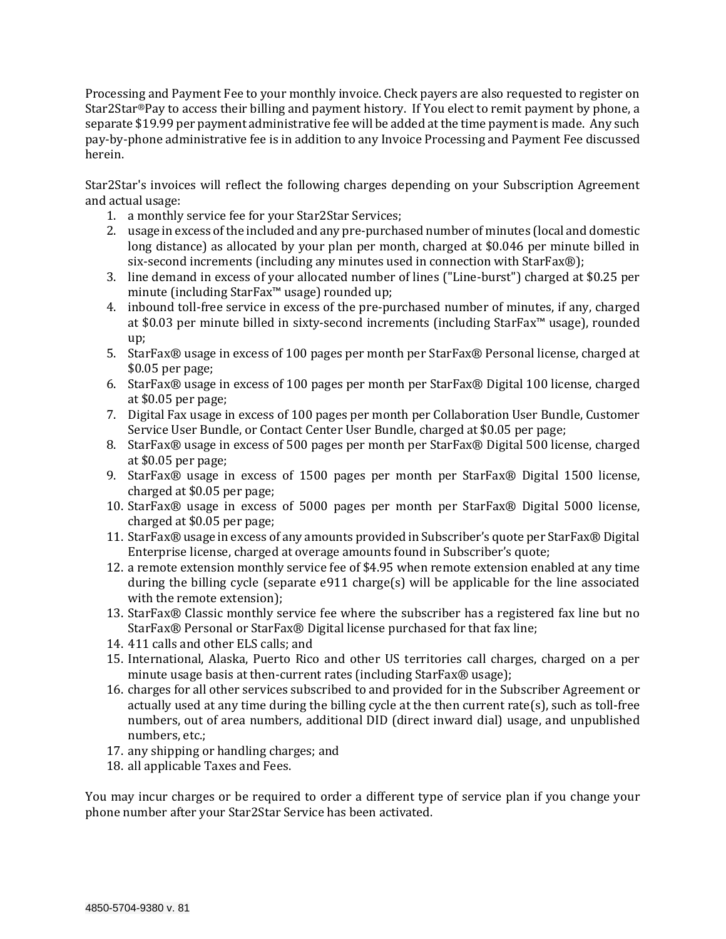Processing and Payment Fee to your monthly invoice. Check payers are also requested to register on Star2Star®Pay to access their billing and payment history. If You elect to remit payment by phone, a separate \$19.99 per payment administrative fee will be added at the time payment is made. Any such pay-by-phone administrative fee is in addition to any Invoice Processing and Payment Fee discussed herein.

Star2Star's invoices will reflect the following charges depending on your Subscription Agreement and actual usage:

- 1. a monthly service fee for your Star2Star Services;
- 2. usage in excess of the included and any pre-purchased number of minutes (local and domestic long distance) as allocated by your plan per month, charged at \$0.046 per minute billed in six-second increments (including any minutes used in connection with StarFax®);
- 3. line demand in excess of your allocated number of lines ("Line-burst") charged at \$0.25 per minute (including StarFax™ usage) rounded up;
- 4. inbound toll-free service in excess of the pre-purchased number of minutes, if any, charged at \$0.03 per minute billed in sixty-second increments (including StarFax™ usage), rounded up;
- 5. StarFax® usage in excess of 100 pages per month per StarFax® Personal license, charged at \$0.05 per page;
- 6. StarFax® usage in excess of 100 pages per month per StarFax® Digital 100 license, charged at \$0.05 per page;
- 7. Digital Fax usage in excess of 100 pages per month per Collaboration User Bundle, Customer Service User Bundle, or Contact Center User Bundle, charged at \$0.05 per page;
- 8. StarFax® usage in excess of 500 pages per month per StarFax® Digital 500 license, charged at \$0.05 per page;
- 9. StarFax® usage in excess of 1500 pages per month per StarFax® Digital 1500 license, charged at \$0.05 per page;
- 10. StarFax® usage in excess of 5000 pages per month per StarFax® Digital 5000 license, charged at \$0.05 per page;
- 11. StarFax® usage in excess of any amounts provided in Subscriber's quote per StarFax® Digital Enterprise license, charged at overage amounts found in Subscriber's quote;
- 12. a remote extension monthly service fee of \$4.95 when remote extension enabled at any time during the billing cycle (separate e911 charge(s) will be applicable for the line associated with the remote extension);
- 13. StarFax® Classic monthly service fee where the subscriber has a registered fax line but no StarFax® Personal or StarFax® Digital license purchased for that fax line;
- 14. 411 calls and other ELS calls; and
- 15. International, Alaska, Puerto Rico and other US territories call charges, charged on a per minute usage basis at then-current rates (including StarFax® usage);
- 16. charges for all other services subscribed to and provided for in the Subscriber Agreement or actually used at any time during the billing cycle at the then current rate(s), such as toll-free numbers, out of area numbers, additional DID (direct inward dial) usage, and unpublished numbers, etc.;
- 17. any shipping or handling charges; and
- 18. all applicable Taxes and Fees.

You may incur charges or be required to order a different type of service plan if you change your phone number after your Star2Star Service has been activated.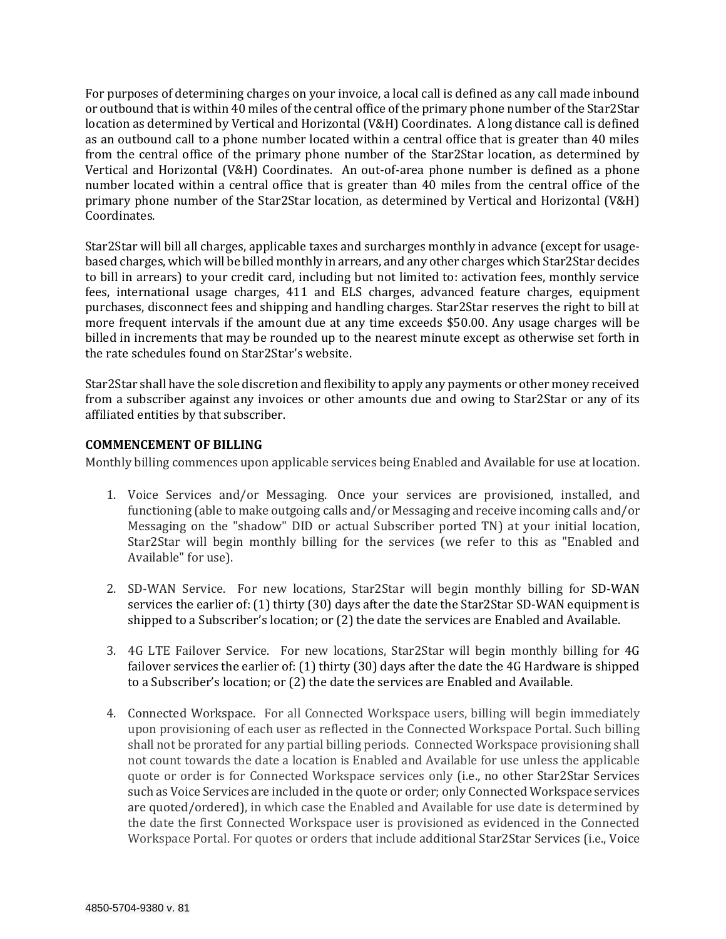For purposes of determining charges on your invoice, a local call is defined as any call made inbound or outbound that is within 40 miles of the central office of the primary phone number of the Star2Star location as determined by Vertical and Horizontal (V&H) Coordinates. A long distance call is defined as an outbound call to a phone number located within a central office that is greater than 40 miles from the central office of the primary phone number of the Star2Star location, as determined by Vertical and Horizontal (V&H) Coordinates. An out-of-area phone number is defined as a phone number located within a central office that is greater than 40 miles from the central office of the primary phone number of the Star2Star location, as determined by Vertical and Horizontal (V&H) Coordinates.

Star2Star will bill all charges, applicable taxes and surcharges monthly in advance (except for usagebased charges, which will be billed monthly in arrears, and any other charges which Star2Star decides to bill in arrears) to your credit card, including but not limited to: activation fees, monthly service fees, international usage charges, 411 and ELS charges, advanced feature charges, equipment purchases, disconnect fees and shipping and handling charges. Star2Star reserves the right to bill at more frequent intervals if the amount due at any time exceeds \$50.00. Any usage charges will be billed in increments that may be rounded up to the nearest minute except as otherwise set forth in the rate schedules found on Star2Star's website.

Star2Star shall have the sole discretion and flexibility to apply any payments or other money received from a subscriber against any invoices or other amounts due and owing to Star2Star or any of its affiliated entities by that subscriber.

### **COMMENCEMENT OF BILLING**

Monthly billing commences upon applicable services being Enabled and Available for use at location.

- 1. Voice Services and/or Messaging. Once your services are provisioned, installed, and functioning (able to make outgoing calls and/or Messaging and receive incoming calls and/or Messaging on the "shadow" DID or actual Subscriber ported TN) at your initial location, Star2Star will begin monthly billing for the services (we refer to this as "Enabled and Available" for use).
- 2. SD-WAN Service. For new locations, Star2Star will begin monthly billing for SD-WAN services the earlier of: (1) thirty (30) days after the date the Star2Star SD-WAN equipment is shipped to a Subscriber's location; or (2) the date the services are Enabled and Available.
- 3. 4G LTE Failover Service. For new locations, Star2Star will begin monthly billing for 4G failover services the earlier of: (1) thirty (30) days after the date the 4G Hardware is shipped to a Subscriber's location; or (2) the date the services are Enabled and Available.
- 4. Connected Workspace. For all Connected Workspace users, billing will begin immediately upon provisioning of each user as reflected in the Connected Workspace Portal. Such billing shall not be prorated for any partial billing periods. Connected Workspace provisioning shall not count towards the date a location is Enabled and Available for use unless the applicable quote or order is for Connected Workspace services only (i.e., no other Star2Star Services such as Voice Services are included in the quote or order; only Connected Workspace services are quoted/ordered), in which case the Enabled and Available for use date is determined by the date the first Connected Workspace user is provisioned as evidenced in the Connected Workspace Portal. For quotes or orders that include additional Star2Star Services (i.e., Voice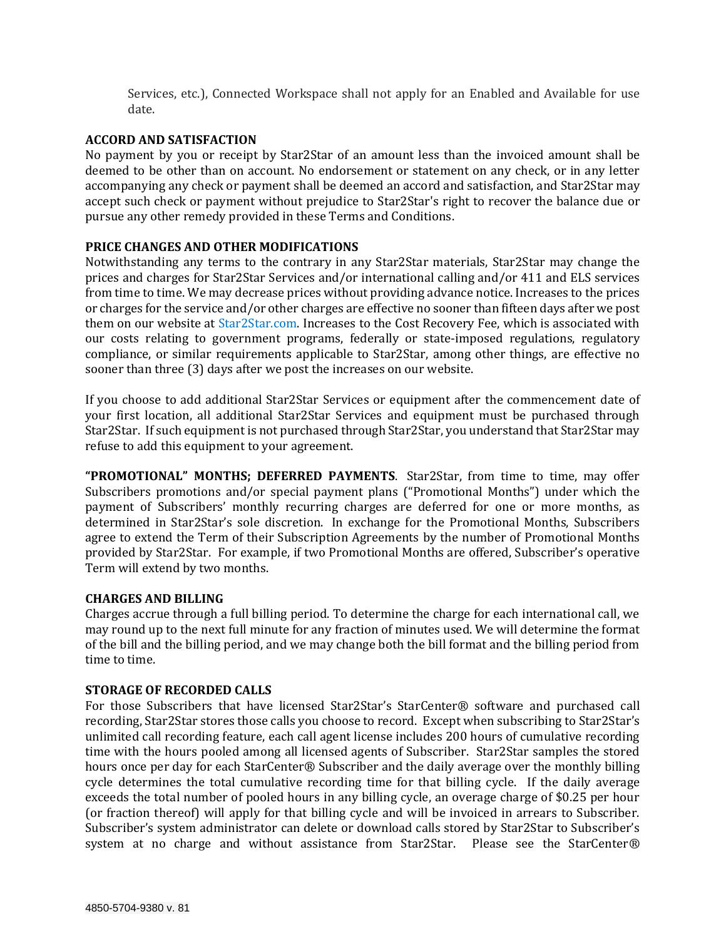Services, etc.), Connected Workspace shall not apply for an Enabled and Available for use date.

### **ACCORD AND SATISFACTION**

No payment by you or receipt by Star2Star of an amount less than the invoiced amount shall be deemed to be other than on account. No endorsement or statement on any check, or in any letter accompanying any check or payment shall be deemed an accord and satisfaction, and Star2Star may accept such check or payment without prejudice to Star2Star's right to recover the balance due or pursue any other remedy provided in these Terms and Conditions.

### **PRICE CHANGES AND OTHER MODIFICATIONS**

Notwithstanding any terms to the contrary in any Star2Star materials, Star2Star may change the prices and charges for Star2Star Services and/or international calling and/or 411 and ELS services from time to time. We may decrease prices without providing advance notice. Increases to the prices or charges for the service and/or other charges are effective no sooner than fifteen days after we post them on our website at [Star2Star.com.](https://www.star2star.com/) Increases to the Cost Recovery Fee, which is associated with our costs relating to government programs, federally or state-imposed regulations, regulatory compliance, or similar requirements applicable to Star2Star, among other things, are effective no sooner than three (3) days after we post the increases on our website.

If you choose to add additional Star2Star Services or equipment after the commencement date of your first location, all additional Star2Star Services and equipment must be purchased through Star2Star. If such equipment is not purchased through Star2Star, you understand that Star2Star may refuse to add this equipment to your agreement.

**"PROMOTIONAL" MONTHS; DEFERRED PAYMENTS**. Star2Star, from time to time, may offer Subscribers promotions and/or special payment plans ("Promotional Months") under which the payment of Subscribers' monthly recurring charges are deferred for one or more months, as determined in Star2Star's sole discretion. In exchange for the Promotional Months, Subscribers agree to extend the Term of their Subscription Agreements by the number of Promotional Months provided by Star2Star. For example, if two Promotional Months are offered, Subscriber's operative Term will extend by two months.

### **CHARGES AND BILLING**

Charges accrue through a full billing period. To determine the charge for each international call, we may round up to the next full minute for any fraction of minutes used. We will determine the format of the bill and the billing period, and we may change both the bill format and the billing period from time to time.

### **STORAGE OF RECORDED CALLS**

For those Subscribers that have licensed Star2Star's StarCenter® software and purchased call recording, Star2Star stores those calls you choose to record. Except when subscribing to Star2Star's unlimited call recording feature, each call agent license includes 200 hours of cumulative recording time with the hours pooled among all licensed agents of Subscriber. Star2Star samples the stored hours once per day for each StarCenter® Subscriber and the daily average over the monthly billing cycle determines the total cumulative recording time for that billing cycle. If the daily average exceeds the total number of pooled hours in any billing cycle, an overage charge of \$0.25 per hour (or fraction thereof) will apply for that billing cycle and will be invoiced in arrears to Subscriber. Subscriber's system administrator can delete or download calls stored by Star2Star to Subscriber's system at no charge and without assistance from Star2Star. Please see the StarCenter®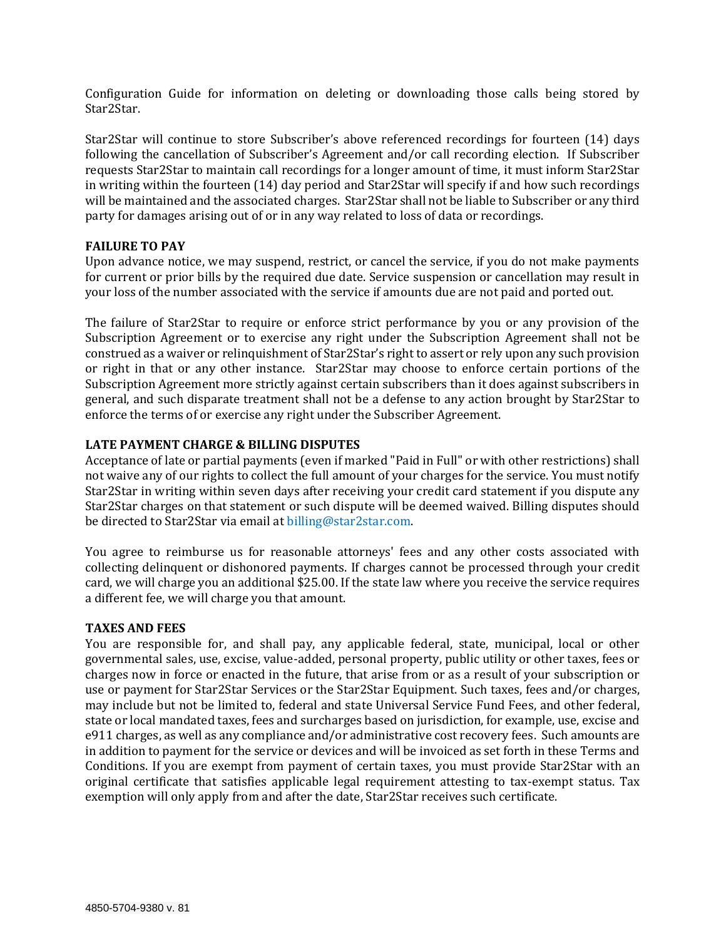Configuration Guide for information on deleting or downloading those calls being stored by Star2Star.

Star2Star will continue to store Subscriber's above referenced recordings for fourteen (14) days following the cancellation of Subscriber's Agreement and/or call recording election. If Subscriber requests Star2Star to maintain call recordings for a longer amount of time, it must inform Star2Star in writing within the fourteen (14) day period and Star2Star will specify if and how such recordings will be maintained and the associated charges. Star2Star shall not be liable to Subscriber or any third party for damages arising out of or in any way related to loss of data or recordings.

### **FAILURE TO PAY**

Upon advance notice, we may suspend, restrict, or cancel the service, if you do not make payments for current or prior bills by the required due date. Service suspension or cancellation may result in your loss of the number associated with the service if amounts due are not paid and ported out.

The failure of Star2Star to require or enforce strict performance by you or any provision of the Subscription Agreement or to exercise any right under the Subscription Agreement shall not be construed as a waiver or relinquishment of Star2Star's right to assert or rely upon any such provision or right in that or any other instance. Star2Star may choose to enforce certain portions of the Subscription Agreement more strictly against certain subscribers than it does against subscribers in general, and such disparate treatment shall not be a defense to any action brought by Star2Star to enforce the terms of or exercise any right under the Subscriber Agreement.

### **LATE PAYMENT CHARGE & BILLING DISPUTES**

Acceptance of late or partial payments (even if marked "Paid in Full" or with other restrictions) shall not waive any of our rights to collect the full amount of your charges for the service. You must notify Star2Star in writing within seven days after receiving your credit card statement if you dispute any Star2Star charges on that statement or such dispute will be deemed waived. Billing disputes should be directed to Star2Star via email at [billing@star2star.com.](mailto:billing@star2star.com)

You agree to reimburse us for reasonable attorneys' fees and any other costs associated with collecting delinquent or dishonored payments. If charges cannot be processed through your credit card, we will charge you an additional \$25.00. If the state law where you receive the service requires a different fee, we will charge you that amount.

#### **TAXES AND FEES**

You are responsible for, and shall pay, any applicable federal, state, municipal, local or other governmental sales, use, excise, value-added, personal property, public utility or other taxes, fees or charges now in force or enacted in the future, that arise from or as a result of your subscription or use or payment for Star2Star Services or the Star2Star Equipment. Such taxes, fees and/or charges, may include but not be limited to, federal and state Universal Service Fund Fees, and other federal, state or local mandated taxes, fees and surcharges based on jurisdiction, for example, use, excise and e911 charges, as well as any compliance and/or administrative cost recovery fees. Such amounts are in addition to payment for the service or devices and will be invoiced as set forth in these Terms and Conditions. If you are exempt from payment of certain taxes, you must provide Star2Star with an original certificate that satisfies applicable legal requirement attesting to tax-exempt status. Tax exemption will only apply from and after the date, Star2Star receives such certificate.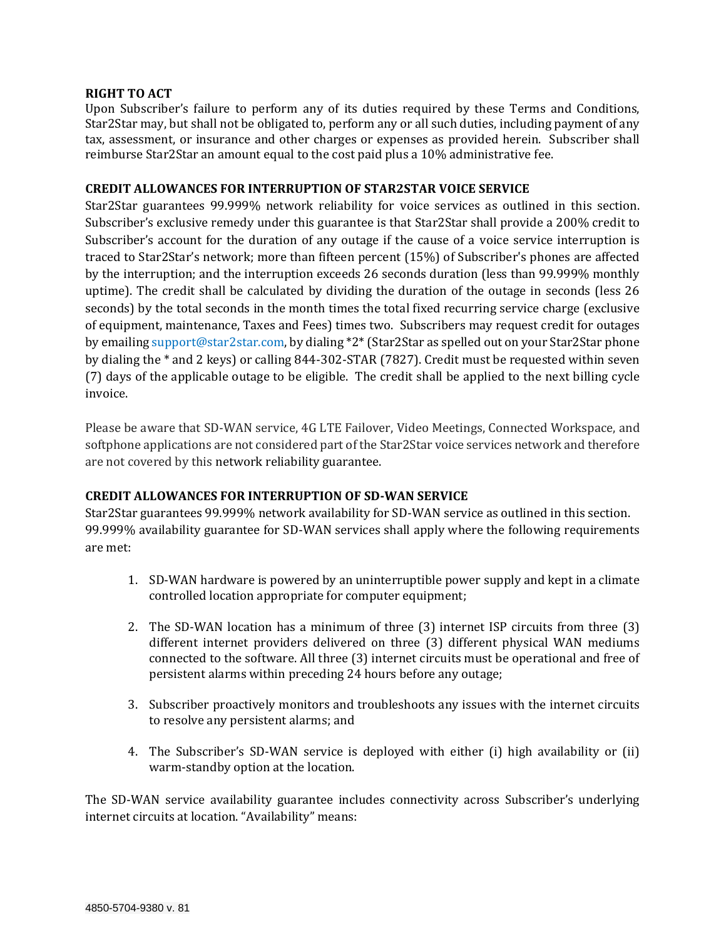### **RIGHT TO ACT**

Upon Subscriber's failure to perform any of its duties required by these Terms and Conditions, Star2Star may, but shall not be obligated to, perform any or all such duties, including payment of any tax, assessment, or insurance and other charges or expenses as provided herein. Subscriber shall reimburse Star2Star an amount equal to the cost paid plus a 10% administrative fee.

# **CREDIT ALLOWANCES FOR INTERRUPTION OF STAR2STAR VOICE SERVICE**

Star2Star guarantees 99.999% network reliability for voice services as outlined in this section. Subscriber's exclusive remedy under this guarantee is that Star2Star shall provide a 200% credit to Subscriber's account for the duration of any outage if the cause of a voice service interruption is traced to Star2Star's network; more than fifteen percent (15%) of Subscriber's phones are affected by the interruption; and the interruption exceeds 26 seconds duration (less than 99.999% monthly uptime). The credit shall be calculated by dividing the duration of the outage in seconds (less 26 seconds) by the total seconds in the month times the total fixed recurring service charge (exclusive of equipment, maintenance, Taxes and Fees) times two. Subscribers may request credit for outages by emailin[g support@star2star.com,](mailto:support@star2star.com) by dialing \*2\* (Star2Star as spelled out on your Star2Star phone by dialing the \* and 2 keys) or calling 844-302-STAR (7827). Credit must be requested within seven (7) days of the applicable outage to be eligible. The credit shall be applied to the next billing cycle invoice.

Please be aware that SD-WAN service, 4G LTE Failover, Video Meetings, Connected Workspace, and softphone applications are not considered part of the Star2Star voice services network and therefore are not covered by this network reliability guarantee.

# **CREDIT ALLOWANCES FOR INTERRUPTION OF SD-WAN SERVICE**

Star2Star guarantees 99.999% network availability for SD-WAN service as outlined in this section. 99.999% availability guarantee for SD-WAN services shall apply where the following requirements are met:

- 1. SD-WAN hardware is powered by an uninterruptible power supply and kept in a climate controlled location appropriate for computer equipment;
- 2. The SD-WAN location has a minimum of three (3) internet ISP circuits from three (3) different internet providers delivered on three (3) different physical WAN mediums connected to the software. All three (3) internet circuits must be operational and free of persistent alarms within preceding 24 hours before any outage;
- 3. Subscriber proactively monitors and troubleshoots any issues with the internet circuits to resolve any persistent alarms; and
- 4. The Subscriber's SD-WAN service is deployed with either (i) high availability or (ii) warm-standby option at the location.

The SD-WAN service availability guarantee includes connectivity across Subscriber's underlying internet circuits at location. "Availability" means: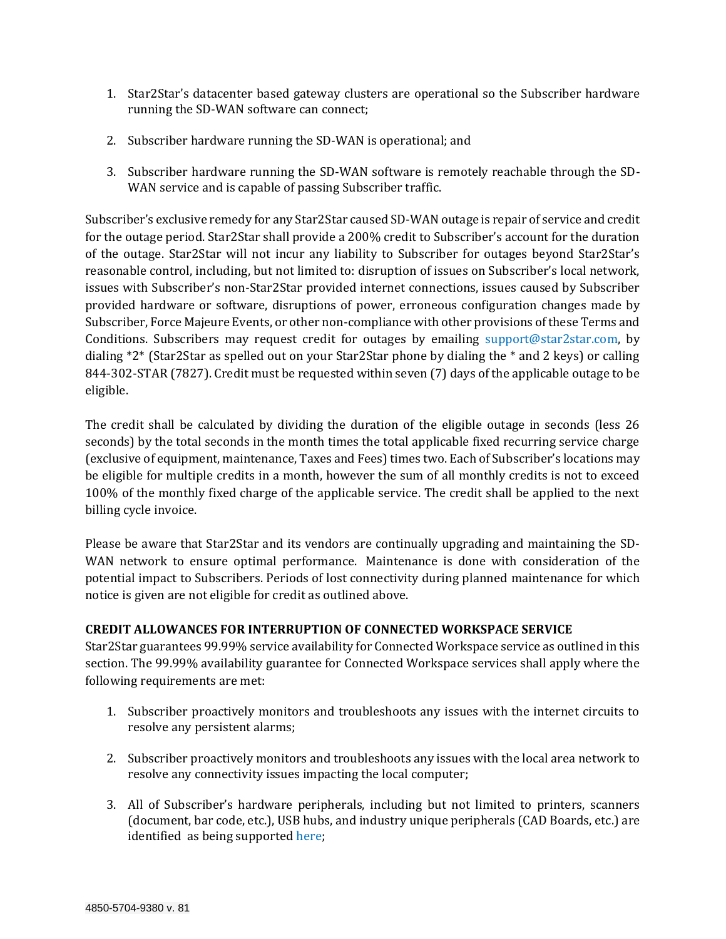- 1. Star2Star's datacenter based gateway clusters are operational so the Subscriber hardware running the SD-WAN software can connect;
- 2. Subscriber hardware running the SD-WAN is operational; and
- 3. Subscriber hardware running the SD-WAN software is remotely reachable through the SD-WAN service and is capable of passing Subscriber traffic.

Subscriber's exclusive remedy for any Star2Star caused SD-WAN outage is repair of service and credit for the outage period. Star2Star shall provide a 200% credit to Subscriber's account for the duration of the outage. Star2Star will not incur any liability to Subscriber for outages beyond Star2Star's reasonable control, including, but not limited to: disruption of issues on Subscriber's local network, issues with Subscriber's non-Star2Star provided internet connections, issues caused by Subscriber provided hardware or software, disruptions of power, erroneous configuration changes made by Subscriber, Force Majeure Events, or other non-compliance with other provisions of these Terms and Conditions. Subscribers may request credit for outages by emailing [support@star2star.com,](mailto:support@star2star.com) by dialing \*2\* (Star2Star as spelled out on your Star2Star phone by dialing the \* and 2 keys) or calling 844-302-STAR (7827). Credit must be requested within seven (7) days of the applicable outage to be eligible.

The credit shall be calculated by dividing the duration of the eligible outage in seconds (less 26 seconds) by the total seconds in the month times the total applicable fixed recurring service charge (exclusive of equipment, maintenance, Taxes and Fees) times two. Each of Subscriber's locations may be eligible for multiple credits in a month, however the sum of all monthly credits is not to exceed 100% of the monthly fixed charge of the applicable service. The credit shall be applied to the next billing cycle invoice.

Please be aware that Star2Star and its vendors are continually upgrading and maintaining the SD-WAN network to ensure optimal performance. Maintenance is done with consideration of the potential impact to Subscribers. Periods of lost connectivity during planned maintenance for which notice is given are not eligible for credit as outlined above.

# **CREDIT ALLOWANCES FOR INTERRUPTION OF CONNECTED WORKSPACE SERVICE**

Star2Star guarantees 99.99% service availability for Connected Workspace service as outlined in this section. The 99.99% availability guarantee for Connected Workspace services shall apply where the following requirements are met:

- 1. Subscriber proactively monitors and troubleshoots any issues with the internet circuits to resolve any persistent alarms;
- 2. Subscriber proactively monitors and troubleshoots any issues with the local area network to resolve any connectivity issues impacting the local computer;
- 3. All of Subscriber's hardware peripherals, including but not limited to printers, scanners (document, bar code, etc.), USB hubs, and industry unique peripherals (CAD Boards, etc.) are identified as being supported [here;](https://citrixready.citrix.com/)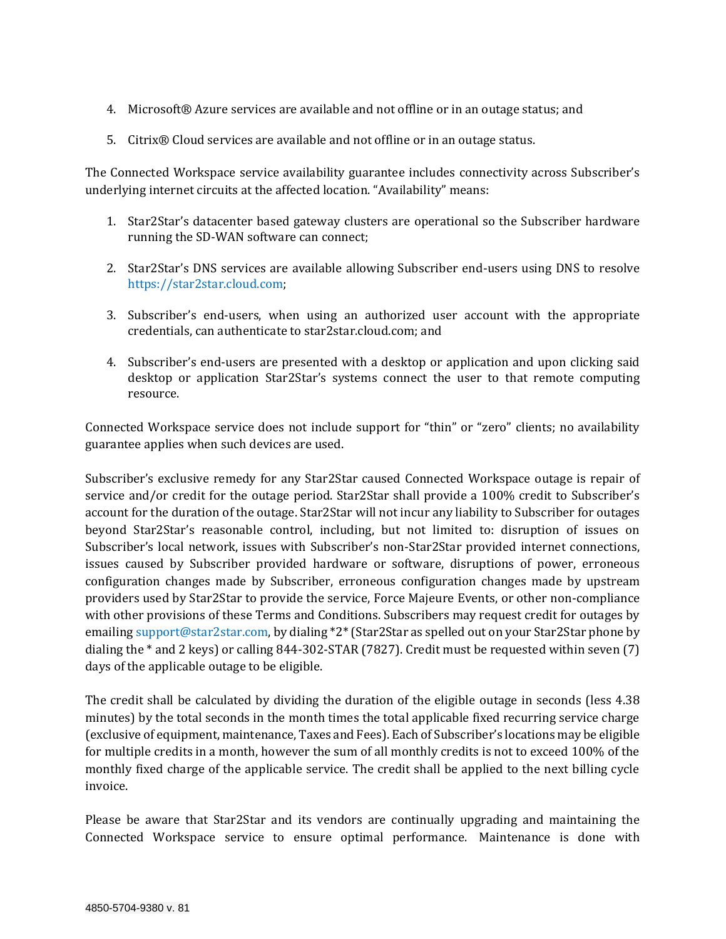- 4. Microsoft® Azure services are available and not offline or in an outage status; and
- 5. Citrix® Cloud services are available and not offline or in an outage status.

The Connected Workspace service availability guarantee includes connectivity across Subscriber's underlying internet circuits at the affected location. "Availability" means:

- 1. Star2Star's datacenter based gateway clusters are operational so the Subscriber hardware running the SD-WAN software can connect;
- 2. Star2Star's DNS services are available allowing Subscriber end-users using DNS to resolve [https://star2star.cloud.com;](https://star2star.cloud.com/)
- 3. Subscriber's end-users, when using an authorized user account with the appropriate credentials, can authenticate to star2star.cloud.com; and
- 4. Subscriber's end-users are presented with a desktop or application and upon clicking said desktop or application Star2Star's systems connect the user to that remote computing resource.

Connected Workspace service does not include support for "thin" or "zero" clients; no availability guarantee applies when such devices are used.

Subscriber's exclusive remedy for any Star2Star caused Connected Workspace outage is repair of service and/or credit for the outage period. Star2Star shall provide a 100% credit to Subscriber's account for the duration of the outage. Star2Star will not incur any liability to Subscriber for outages beyond Star2Star's reasonable control, including, but not limited to: disruption of issues on Subscriber's local network, issues with Subscriber's non-Star2Star provided internet connections, issues caused by Subscriber provided hardware or software, disruptions of power, erroneous configuration changes made by Subscriber, erroneous configuration changes made by upstream providers used by Star2Star to provide the service, Force Majeure Events, or other non-compliance with other provisions of these Terms and Conditions. Subscribers may request credit for outages by emailin[g support@star2star.com,](mailto:support@star2star.com) by dialing \*2\* (Star2Star as spelled out on your Star2Star phone by dialing the \* and 2 keys) or calling 844-302-STAR (7827). Credit must be requested within seven (7) days of the applicable outage to be eligible.

The credit shall be calculated by dividing the duration of the eligible outage in seconds (less 4.38 minutes) by the total seconds in the month times the total applicable fixed recurring service charge (exclusive of equipment, maintenance, Taxes and Fees). Each of Subscriber's locations may be eligible for multiple credits in a month, however the sum of all monthly credits is not to exceed 100% of the monthly fixed charge of the applicable service. The credit shall be applied to the next billing cycle invoice.

Please be aware that Star2Star and its vendors are continually upgrading and maintaining the Connected Workspace service to ensure optimal performance. Maintenance is done with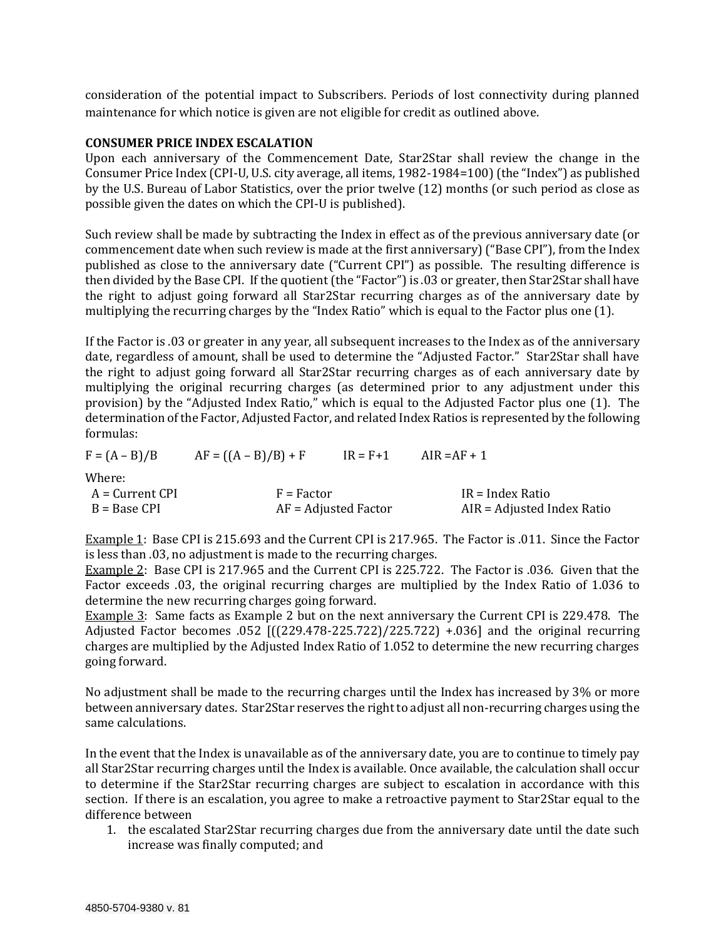consideration of the potential impact to Subscribers. Periods of lost connectivity during planned maintenance for which notice is given are not eligible for credit as outlined above.

#### **CONSUMER PRICE INDEX ESCALATION**

Upon each anniversary of the Commencement Date, Star2Star shall review the change in the Consumer Price Index (CPI-U, U.S. city average, all items, 1982-1984=100) (the "Index") as published by the U.S. Bureau of Labor Statistics, over the prior twelve (12) months (or such period as close as possible given the dates on which the CPI-U is published).

Such review shall be made by subtracting the Index in effect as of the previous anniversary date (or commencement date when such review is made at the first anniversary) ("Base CPI"), from the Index published as close to the anniversary date ("Current CPI") as possible. The resulting difference is then divided by the Base CPI. If the quotient (the "Factor") is .03 or greater, then Star2Star shall have the right to adjust going forward all Star2Star recurring charges as of the anniversary date by multiplying the recurring charges by the "Index Ratio" which is equal to the Factor plus one (1).

If the Factor is .03 or greater in any year, all subsequent increases to the Index as of the anniversary date, regardless of amount, shall be used to determine the "Adjusted Factor." Star2Star shall have the right to adjust going forward all Star2Star recurring charges as of each anniversary date by multiplying the original recurring charges (as determined prior to any adjustment under this provision) by the "Adjusted Index Ratio," which is equal to the Adjusted Factor plus one (1). The determination of the Factor, Adjusted Factor, and related Index Ratios is represented by the following formulas:

 $F = (A - B)/B$   $AF = ((A - B)/B) + F$   $IR = F + 1$   $AlR = AF + 1$ 

Where:

| A = Current CPI | $F = Factor$           | IR = Index Ratio           |
|-----------------|------------------------|----------------------------|
| $B = Base CPI$  | $AF = Adjusted Factor$ | AIR = Adjusted Index Ratio |

Example 1: Base CPI is 215.693 and the Current CPI is 217.965. The Factor is .011. Since the Factor is less than .03, no adjustment is made to the recurring charges.

Example 2: Base CPI is 217.965 and the Current CPI is 225.722. The Factor is .036. Given that the Factor exceeds .03, the original recurring charges are multiplied by the Index Ratio of 1.036 to determine the new recurring charges going forward.

Example 3: Same facts as Example 2 but on the next anniversary the Current CPI is 229.478. The Adjusted Factor becomes .052 [((229.478-225.722)/225.722) +.036] and the original recurring charges are multiplied by the Adjusted Index Ratio of 1.052 to determine the new recurring charges going forward.

No adjustment shall be made to the recurring charges until the Index has increased by 3% or more between anniversary dates. Star2Star reserves the right to adjust all non-recurring charges using the same calculations.

In the event that the Index is unavailable as of the anniversary date, you are to continue to timely pay all Star2Star recurring charges until the Index is available. Once available, the calculation shall occur to determine if the Star2Star recurring charges are subject to escalation in accordance with this section. If there is an escalation, you agree to make a retroactive payment to Star2Star equal to the difference between

1. the escalated Star2Star recurring charges due from the anniversary date until the date such increase was finally computed; and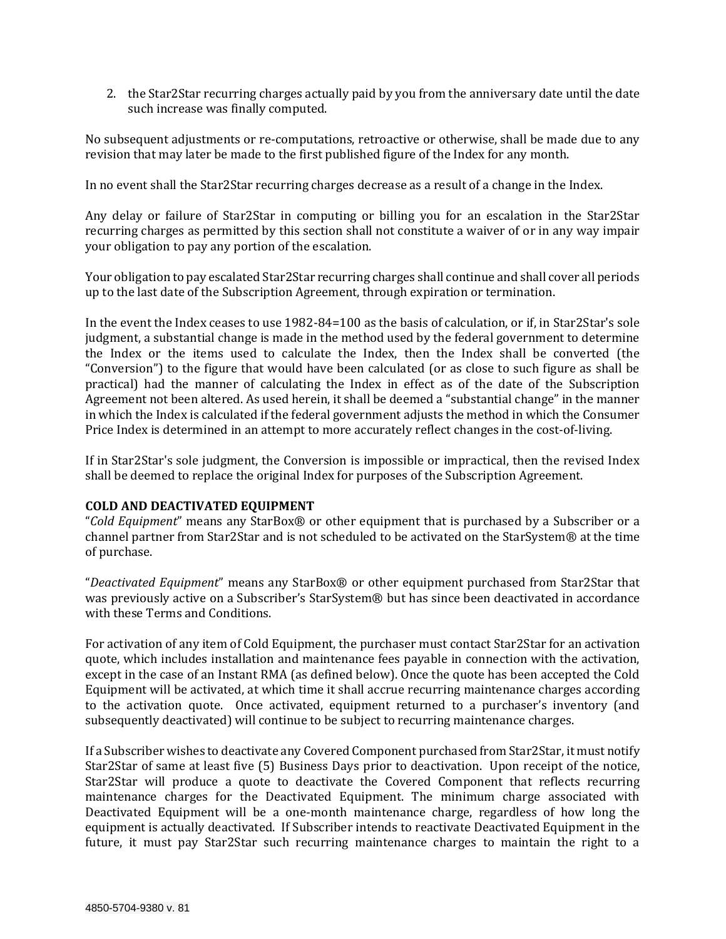2. the Star2Star recurring charges actually paid by you from the anniversary date until the date such increase was finally computed.

No subsequent adjustments or re-computations, retroactive or otherwise, shall be made due to any revision that may later be made to the first published figure of the Index for any month.

In no event shall the Star2Star recurring charges decrease as a result of a change in the Index.

Any delay or failure of Star2Star in computing or billing you for an escalation in the Star2Star recurring charges as permitted by this section shall not constitute a waiver of or in any way impair your obligation to pay any portion of the escalation.

Your obligation to pay escalated Star2Star recurring charges shall continue and shall cover all periods up to the last date of the Subscription Agreement, through expiration or termination.

In the event the Index ceases to use 1982-84=100 as the basis of calculation, or if, in Star2Star's sole judgment, a substantial change is made in the method used by the federal government to determine the Index or the items used to calculate the Index, then the Index shall be converted (the "Conversion") to the figure that would have been calculated (or as close to such figure as shall be practical) had the manner of calculating the Index in effect as of the date of the Subscription Agreement not been altered. As used herein, it shall be deemed a "substantial change" in the manner in which the Index is calculated if the federal government adjusts the method in which the Consumer Price Index is determined in an attempt to more accurately reflect changes in the cost-of-living.

If in Star2Star's sole judgment, the Conversion is impossible or impractical, then the revised Index shall be deemed to replace the original Index for purposes of the Subscription Agreement.

### **COLD AND DEACTIVATED EQUIPMENT**

"*Cold Equipment*" means any StarBox® or other equipment that is purchased by a Subscriber or a channel partner from Star2Star and is not scheduled to be activated on the StarSystem® at the time of purchase.

"*Deactivated Equipment*" means any StarBox® or other equipment purchased from Star2Star that was previously active on a Subscriber's StarSystem® but has since been deactivated in accordance with these Terms and Conditions.

For activation of any item of Cold Equipment, the purchaser must contact Star2Star for an activation quote, which includes installation and maintenance fees payable in connection with the activation, except in the case of an Instant RMA (as defined below). Once the quote has been accepted the Cold Equipment will be activated, at which time it shall accrue recurring maintenance charges according to the activation quote. Once activated, equipment returned to a purchaser's inventory (and subsequently deactivated) will continue to be subject to recurring maintenance charges.

If a Subscriber wishes to deactivate any Covered Component purchased from Star2Star, it must notify Star2Star of same at least five (5) Business Days prior to deactivation. Upon receipt of the notice, Star2Star will produce a quote to deactivate the Covered Component that reflects recurring maintenance charges for the Deactivated Equipment. The minimum charge associated with Deactivated Equipment will be a one-month maintenance charge, regardless of how long the equipment is actually deactivated. If Subscriber intends to reactivate Deactivated Equipment in the future, it must pay Star2Star such recurring maintenance charges to maintain the right to a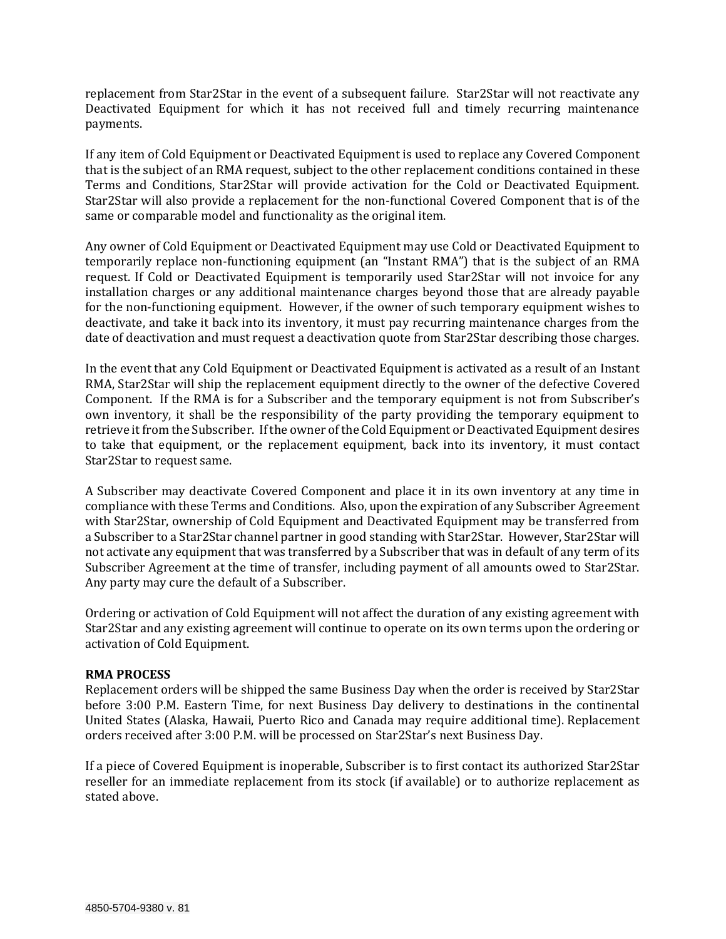replacement from Star2Star in the event of a subsequent failure. Star2Star will not reactivate any Deactivated Equipment for which it has not received full and timely recurring maintenance payments.

If any item of Cold Equipment or Deactivated Equipment is used to replace any Covered Component that is the subject of an RMA request, subject to the other replacement conditions contained in these Terms and Conditions, Star2Star will provide activation for the Cold or Deactivated Equipment. Star2Star will also provide a replacement for the non-functional Covered Component that is of the same or comparable model and functionality as the original item.

Any owner of Cold Equipment or Deactivated Equipment may use Cold or Deactivated Equipment to temporarily replace non-functioning equipment (an "Instant RMA") that is the subject of an RMA request. If Cold or Deactivated Equipment is temporarily used Star2Star will not invoice for any installation charges or any additional maintenance charges beyond those that are already payable for the non-functioning equipment. However, if the owner of such temporary equipment wishes to deactivate, and take it back into its inventory, it must pay recurring maintenance charges from the date of deactivation and must request a deactivation quote from Star2Star describing those charges.

In the event that any Cold Equipment or Deactivated Equipment is activated as a result of an Instant RMA, Star2Star will ship the replacement equipment directly to the owner of the defective Covered Component. If the RMA is for a Subscriber and the temporary equipment is not from Subscriber's own inventory, it shall be the responsibility of the party providing the temporary equipment to retrieve it from the Subscriber. If the owner of the Cold Equipment or Deactivated Equipment desires to take that equipment, or the replacement equipment, back into its inventory, it must contact Star2Star to request same.

A Subscriber may deactivate Covered Component and place it in its own inventory at any time in compliance with these Terms and Conditions. Also, upon the expiration of any Subscriber Agreement with Star2Star, ownership of Cold Equipment and Deactivated Equipment may be transferred from a Subscriber to a Star2Star channel partner in good standing with Star2Star. However, Star2Star will not activate any equipment that was transferred by a Subscriber that was in default of any term of its Subscriber Agreement at the time of transfer, including payment of all amounts owed to Star2Star. Any party may cure the default of a Subscriber.

Ordering or activation of Cold Equipment will not affect the duration of any existing agreement with Star2Star and any existing agreement will continue to operate on its own terms upon the ordering or activation of Cold Equipment.

### **RMA PROCESS**

Replacement orders will be shipped the same Business Day when the order is received by Star2Star before 3:00 P.M. Eastern Time, for next Business Day delivery to destinations in the continental United States (Alaska, Hawaii, Puerto Rico and Canada may require additional time). Replacement orders received after 3:00 P.M. will be processed on Star2Star's next Business Day.

If a piece of Covered Equipment is inoperable, Subscriber is to first contact its authorized Star2Star reseller for an immediate replacement from its stock (if available) or to authorize replacement as stated above.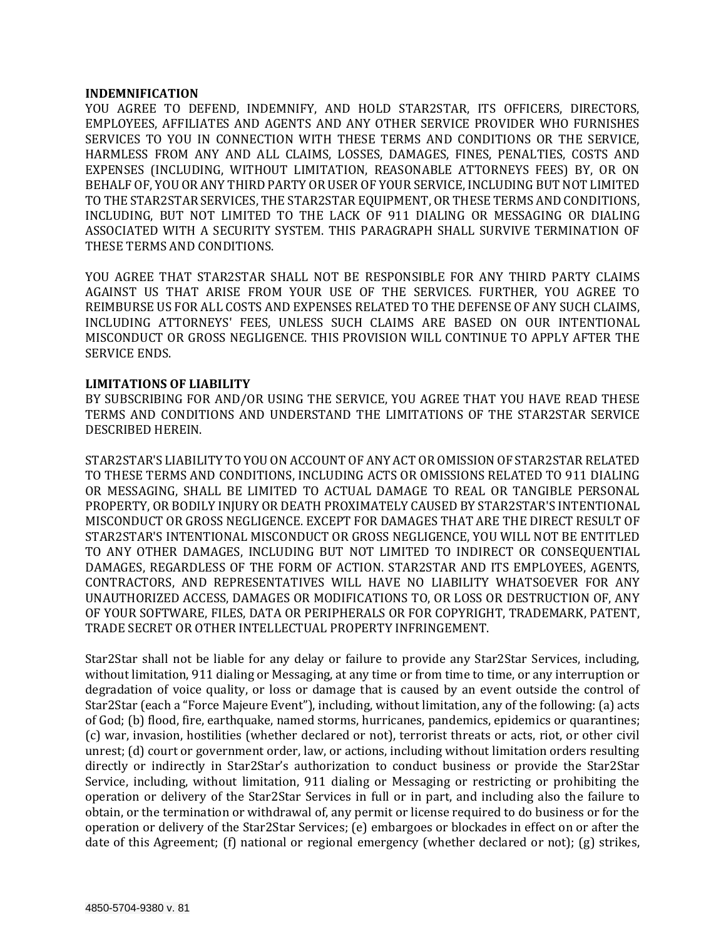#### **INDEMNIFICATION**

YOU AGREE TO DEFEND, INDEMNIFY, AND HOLD STAR2STAR, ITS OFFICERS, DIRECTORS, EMPLOYEES, AFFILIATES AND AGENTS AND ANY OTHER SERVICE PROVIDER WHO FURNISHES SERVICES TO YOU IN CONNECTION WITH THESE TERMS AND CONDITIONS OR THE SERVICE, HARMLESS FROM ANY AND ALL CLAIMS, LOSSES, DAMAGES, FINES, PENALTIES, COSTS AND EXPENSES (INCLUDING, WITHOUT LIMITATION, REASONABLE ATTORNEYS FEES) BY, OR ON BEHALF OF, YOU OR ANY THIRD PARTY OR USER OF YOUR SERVICE, INCLUDING BUT NOT LIMITED TO THE STAR2STAR SERVICES, THE STAR2STAR EQUIPMENT, OR THESE TERMS AND CONDITIONS, INCLUDING, BUT NOT LIMITED TO THE LACK OF 911 DIALING OR MESSAGING OR DIALING ASSOCIATED WITH A SECURITY SYSTEM. THIS PARAGRAPH SHALL SURVIVE TERMINATION OF THESE TERMS AND CONDITIONS.

YOU AGREE THAT STAR2STAR SHALL NOT BE RESPONSIBLE FOR ANY THIRD PARTY CLAIMS AGAINST US THAT ARISE FROM YOUR USE OF THE SERVICES. FURTHER, YOU AGREE TO REIMBURSE US FOR ALL COSTS AND EXPENSES RELATED TO THE DEFENSE OF ANY SUCH CLAIMS, INCLUDING ATTORNEYS' FEES, UNLESS SUCH CLAIMS ARE BASED ON OUR INTENTIONAL MISCONDUCT OR GROSS NEGLIGENCE. THIS PROVISION WILL CONTINUE TO APPLY AFTER THE SERVICE ENDS.

### **LIMITATIONS OF LIABILITY**

BY SUBSCRIBING FOR AND/OR USING THE SERVICE, YOU AGREE THAT YOU HAVE READ THESE TERMS AND CONDITIONS AND UNDERSTAND THE LIMITATIONS OF THE STAR2STAR SERVICE DESCRIBED HEREIN.

STAR2STAR'S LIABILITY TO YOU ON ACCOUNT OF ANY ACT OR OMISSION OF STAR2STAR RELATED TO THESE TERMS AND CONDITIONS, INCLUDING ACTS OR OMISSIONS RELATED TO 911 DIALING OR MESSAGING, SHALL BE LIMITED TO ACTUAL DAMAGE TO REAL OR TANGIBLE PERSONAL PROPERTY, OR BODILY INJURY OR DEATH PROXIMATELY CAUSED BY STAR2STAR'S INTENTIONAL MISCONDUCT OR GROSS NEGLIGENCE. EXCEPT FOR DAMAGES THAT ARE THE DIRECT RESULT OF STAR2STAR'S INTENTIONAL MISCONDUCT OR GROSS NEGLIGENCE, YOU WILL NOT BE ENTITLED TO ANY OTHER DAMAGES, INCLUDING BUT NOT LIMITED TO INDIRECT OR CONSEQUENTIAL DAMAGES, REGARDLESS OF THE FORM OF ACTION. STAR2STAR AND ITS EMPLOYEES, AGENTS, CONTRACTORS, AND REPRESENTATIVES WILL HAVE NO LIABILITY WHATSOEVER FOR ANY UNAUTHORIZED ACCESS, DAMAGES OR MODIFICATIONS TO, OR LOSS OR DESTRUCTION OF, ANY OF YOUR SOFTWARE, FILES, DATA OR PERIPHERALS OR FOR COPYRIGHT, TRADEMARK, PATENT, TRADE SECRET OR OTHER INTELLECTUAL PROPERTY INFRINGEMENT.

Star2Star shall not be liable for any delay or failure to provide any Star2Star Services, including, without limitation, 911 dialing or Messaging, at any time or from time to time, or any interruption or degradation of voice quality, or loss or damage that is caused by an event outside the control of Star2Star (each a "Force Majeure Event"), including, without limitation, any of the following: (a) acts of God; (b) flood, fire, earthquake, named storms, hurricanes, pandemics, epidemics or quarantines; (c) war, invasion, hostilities (whether declared or not), terrorist threats or acts, riot, or other civil unrest; (d) court or government order, law, or actions, including without limitation orders resulting directly or indirectly in Star2Star's authorization to conduct business or provide the Star2Star Service, including, without limitation, 911 dialing or Messaging or restricting or prohibiting the operation or delivery of the Star2Star Services in full or in part, and including also the failure to obtain, or the termination or withdrawal of, any permit or license required to do business or for the operation or delivery of the Star2Star Services; (e) embargoes or blockades in effect on or after the date of this Agreement; (f) national or regional emergency (whether declared or not); (g) strikes,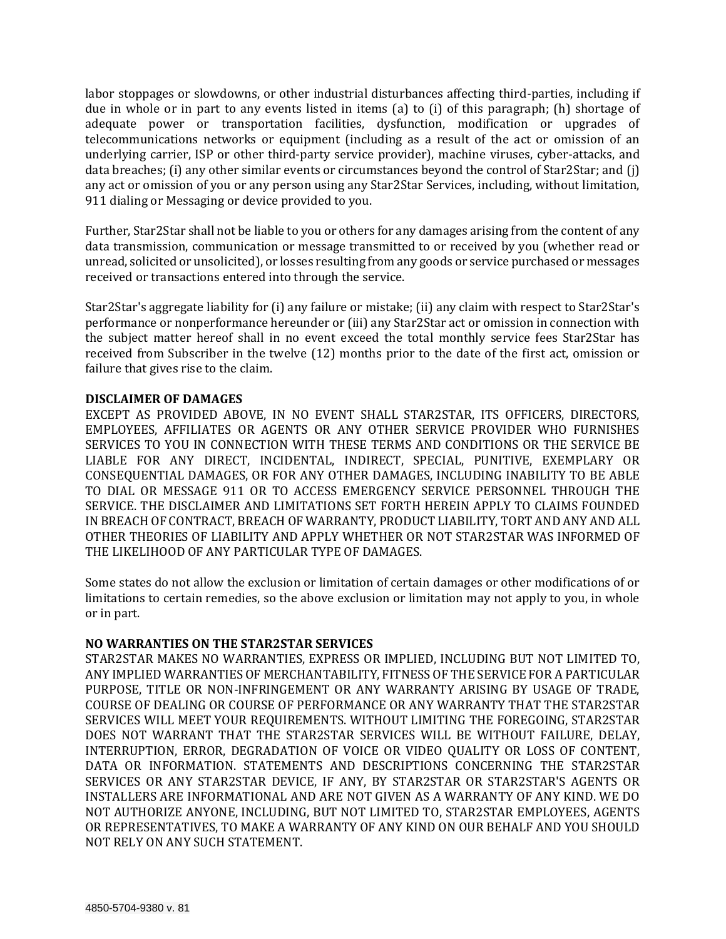labor stoppages or slowdowns, or other industrial disturbances affecting third-parties, including if due in whole or in part to any events listed in items (a) to (i) of this paragraph; (h) shortage of adequate power or transportation facilities, dysfunction, modification or upgrades of telecommunications networks or equipment (including as a result of the act or omission of an underlying carrier, ISP or other third-party service provider), machine viruses, cyber-attacks, and data breaches; (i) any other similar events or circumstances beyond the control of Star2Star; and (j) any act or omission of you or any person using any Star2Star Services, including, without limitation, 911 dialing or Messaging or device provided to you.

Further, Star2Star shall not be liable to you or others for any damages arising from the content of any data transmission, communication or message transmitted to or received by you (whether read or unread, solicited or unsolicited), or losses resulting from any goods or service purchased or messages received or transactions entered into through the service.

Star2Star's aggregate liability for (i) any failure or mistake; (ii) any claim with respect to Star2Star's performance or nonperformance hereunder or (iii) any Star2Star act or omission in connection with the subject matter hereof shall in no event exceed the total monthly service fees Star2Star has received from Subscriber in the twelve (12) months prior to the date of the first act, omission or failure that gives rise to the claim.

### **DISCLAIMER OF DAMAGES**

EXCEPT AS PROVIDED ABOVE, IN NO EVENT SHALL STAR2STAR, ITS OFFICERS, DIRECTORS, EMPLOYEES, AFFILIATES OR AGENTS OR ANY OTHER SERVICE PROVIDER WHO FURNISHES SERVICES TO YOU IN CONNECTION WITH THESE TERMS AND CONDITIONS OR THE SERVICE BE LIABLE FOR ANY DIRECT, INCIDENTAL, INDIRECT, SPECIAL, PUNITIVE, EXEMPLARY OR CONSEQUENTIAL DAMAGES, OR FOR ANY OTHER DAMAGES, INCLUDING INABILITY TO BE ABLE TO DIAL OR MESSAGE 911 OR TO ACCESS EMERGENCY SERVICE PERSONNEL THROUGH THE SERVICE. THE DISCLAIMER AND LIMITATIONS SET FORTH HEREIN APPLY TO CLAIMS FOUNDED IN BREACH OF CONTRACT, BREACH OF WARRANTY, PRODUCT LIABILITY, TORT AND ANY AND ALL OTHER THEORIES OF LIABILITY AND APPLY WHETHER OR NOT STAR2STAR WAS INFORMED OF THE LIKELIHOOD OF ANY PARTICULAR TYPE OF DAMAGES.

Some states do not allow the exclusion or limitation of certain damages or other modifications of or limitations to certain remedies, so the above exclusion or limitation may not apply to you, in whole or in part.

#### **NO WARRANTIES ON THE STAR2STAR SERVICES**

STAR2STAR MAKES NO WARRANTIES, EXPRESS OR IMPLIED, INCLUDING BUT NOT LIMITED TO, ANY IMPLIED WARRANTIES OF MERCHANTABILITY, FITNESS OF THE SERVICE FOR A PARTICULAR PURPOSE, TITLE OR NON-INFRINGEMENT OR ANY WARRANTY ARISING BY USAGE OF TRADE, COURSE OF DEALING OR COURSE OF PERFORMANCE OR ANY WARRANTY THAT THE STAR2STAR SERVICES WILL MEET YOUR REQUIREMENTS. WITHOUT LIMITING THE FOREGOING, STAR2STAR DOES NOT WARRANT THAT THE STAR2STAR SERVICES WILL BE WITHOUT FAILURE, DELAY, INTERRUPTION, ERROR, DEGRADATION OF VOICE OR VIDEO QUALITY OR LOSS OF CONTENT, DATA OR INFORMATION. STATEMENTS AND DESCRIPTIONS CONCERNING THE STAR2STAR SERVICES OR ANY STAR2STAR DEVICE, IF ANY, BY STAR2STAR OR STAR2STAR'S AGENTS OR INSTALLERS ARE INFORMATIONAL AND ARE NOT GIVEN AS A WARRANTY OF ANY KIND. WE DO NOT AUTHORIZE ANYONE, INCLUDING, BUT NOT LIMITED TO, STAR2STAR EMPLOYEES, AGENTS OR REPRESENTATIVES, TO MAKE A WARRANTY OF ANY KIND ON OUR BEHALF AND YOU SHOULD NOT RELY ON ANY SUCH STATEMENT.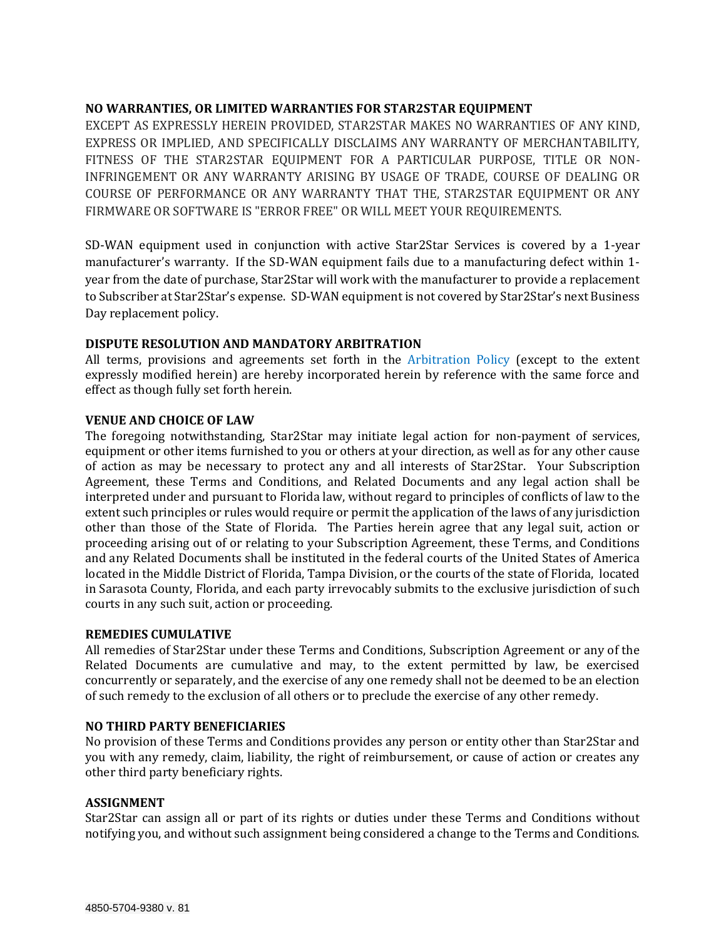# **NO WARRANTIES, OR LIMITED WARRANTIES FOR STAR2STAR EQUIPMENT**

EXCEPT AS EXPRESSLY HEREIN PROVIDED, STAR2STAR MAKES NO WARRANTIES OF ANY KIND, EXPRESS OR IMPLIED, AND SPECIFICALLY DISCLAIMS ANY WARRANTY OF MERCHANTABILITY, FITNESS OF THE STAR2STAR EQUIPMENT FOR A PARTICULAR PURPOSE, TITLE OR NON-INFRINGEMENT OR ANY WARRANTY ARISING BY USAGE OF TRADE, COURSE OF DEALING OR COURSE OF PERFORMANCE OR ANY WARRANTY THAT THE, STAR2STAR EQUIPMENT OR ANY FIRMWARE OR SOFTWARE IS "ERROR FREE" OR WILL MEET YOUR REQUIREMENTS.

SD-WAN equipment used in conjunction with active Star2Star Services is covered by a 1-year manufacturer's warranty. If the SD-WAN equipment fails due to a manufacturing defect within 1 year from the date of purchase, Star2Star will work with the manufacturer to provide a replacement to Subscriber at Star2Star's expense. SD-WAN equipment is not covered by Star2Star's next Business Day replacement policy.

### **DISPUTE RESOLUTION AND MANDATORY ARBITRATION**

All terms, provisions and agreements set forth in the [Arbitration Policy](http://www.star2star.com/arbitration-policy) (except to the extent expressly modified herein) are hereby incorporated herein by reference with the same force and effect as though fully set forth herein.

# **VENUE AND CHOICE OF LAW**

The foregoing notwithstanding, Star2Star may initiate legal action for non-payment of services, equipment or other items furnished to you or others at your direction, as well as for any other cause of action as may be necessary to protect any and all interests of Star2Star. Your Subscription Agreement, these Terms and Conditions, and Related Documents and any legal action shall be interpreted under and pursuant to Florida law, without regard to principles of conflicts of law to the extent such principles or rules would require or permit the application of the laws of any jurisdiction other than those of the State of Florida. The Parties herein agree that any legal suit, action or proceeding arising out of or relating to your Subscription Agreement, these Terms, and Conditions and any Related Documents shall be instituted in the federal courts of the United States of America located in the Middle District of Florida, Tampa Division, or the courts of the state of Florida, located in Sarasota County, Florida, and each party irrevocably submits to the exclusive jurisdiction of such courts in any such suit, action or proceeding.

### **REMEDIES CUMULATIVE**

All remedies of Star2Star under these Terms and Conditions, Subscription Agreement or any of the Related Documents are cumulative and may, to the extent permitted by law, be exercised concurrently or separately, and the exercise of any one remedy shall not be deemed to be an election of such remedy to the exclusion of all others or to preclude the exercise of any other remedy.

# **NO THIRD PARTY BENEFICIARIES**

No provision of these Terms and Conditions provides any person or entity other than Star2Star and you with any remedy, claim, liability, the right of reimbursement, or cause of action or creates any other third party beneficiary rights.

### **ASSIGNMENT**

Star2Star can assign all or part of its rights or duties under these Terms and Conditions without notifying you, and without such assignment being considered a change to the Terms and Conditions.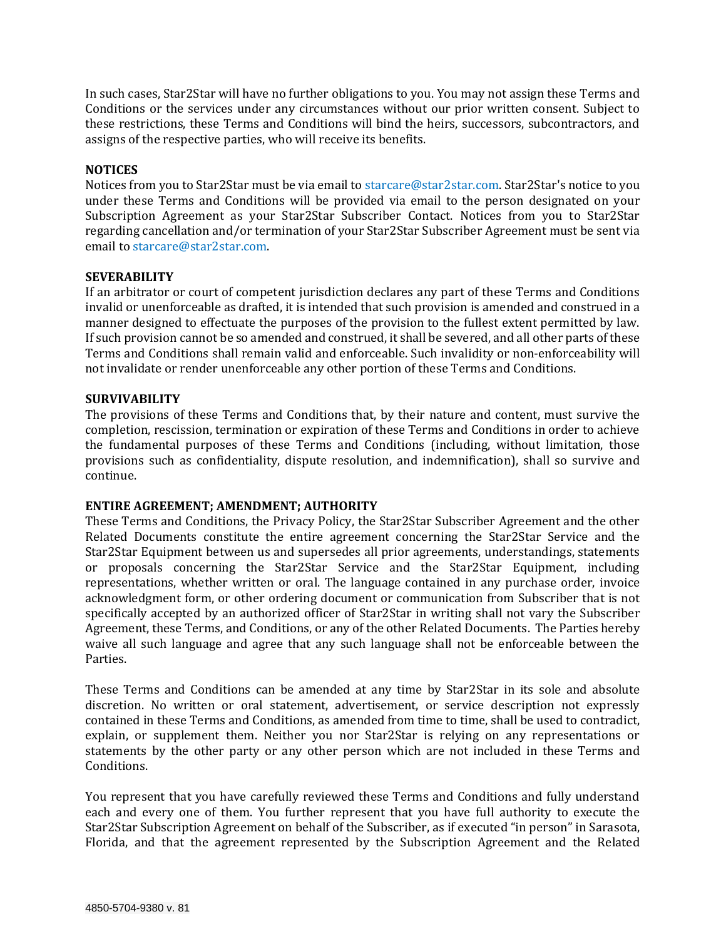In such cases, Star2Star will have no further obligations to you. You may not assign these Terms and Conditions or the services under any circumstances without our prior written consent. Subject to these restrictions, these Terms and Conditions will bind the heirs, successors, subcontractors, and assigns of the respective parties, who will receive its benefits.

## **NOTICES**

Notices from you to Star2Star must be via email to [starcare@star2star.com.](mailto:starcare@star2star.com) Star2Star's notice to you under these Terms and Conditions will be provided via email to the person designated on your Subscription Agreement as your Star2Star Subscriber Contact. Notices from you to Star2Star regarding cancellation and/or termination of your Star2Star Subscriber Agreement must be sent via email to [starcare@star2star.com.](mailto:starcare@star2star.com)

### **SEVERABILITY**

If an arbitrator or court of competent jurisdiction declares any part of these Terms and Conditions invalid or unenforceable as drafted, it is intended that such provision is amended and construed in a manner designed to effectuate the purposes of the provision to the fullest extent permitted by law. If such provision cannot be so amended and construed, it shall be severed, and all other parts of these Terms and Conditions shall remain valid and enforceable. Such invalidity or non-enforceability will not invalidate or render unenforceable any other portion of these Terms and Conditions.

### **SURVIVABILITY**

The provisions of these Terms and Conditions that, by their nature and content, must survive the completion, rescission, termination or expiration of these Terms and Conditions in order to achieve the fundamental purposes of these Terms and Conditions (including, without limitation, those provisions such as confidentiality, dispute resolution, and indemnification), shall so survive and continue.

### **ENTIRE AGREEMENT; AMENDMENT; AUTHORITY**

These Terms and Conditions, the Privacy Policy, the Star2Star Subscriber Agreement and the other Related Documents constitute the entire agreement concerning the Star2Star Service and the Star2Star Equipment between us and supersedes all prior agreements, understandings, statements or proposals concerning the Star2Star Service and the Star2Star Equipment, including representations, whether written or oral. The language contained in any purchase order, invoice acknowledgment form, or other ordering document or communication from Subscriber that is not specifically accepted by an authorized officer of Star2Star in writing shall not vary the Subscriber Agreement, these Terms, and Conditions, or any of the other Related Documents. The Parties hereby waive all such language and agree that any such language shall not be enforceable between the Parties.

These Terms and Conditions can be amended at any time by Star2Star in its sole and absolute discretion. No written or oral statement, advertisement, or service description not expressly contained in these Terms and Conditions, as amended from time to time, shall be used to contradict, explain, or supplement them. Neither you nor Star2Star is relying on any representations or statements by the other party or any other person which are not included in these Terms and Conditions.

You represent that you have carefully reviewed these Terms and Conditions and fully understand each and every one of them. You further represent that you have full authority to execute the Star2Star Subscription Agreement on behalf of the Subscriber, as if executed "in person" in Sarasota, Florida, and that the agreement represented by the Subscription Agreement and the Related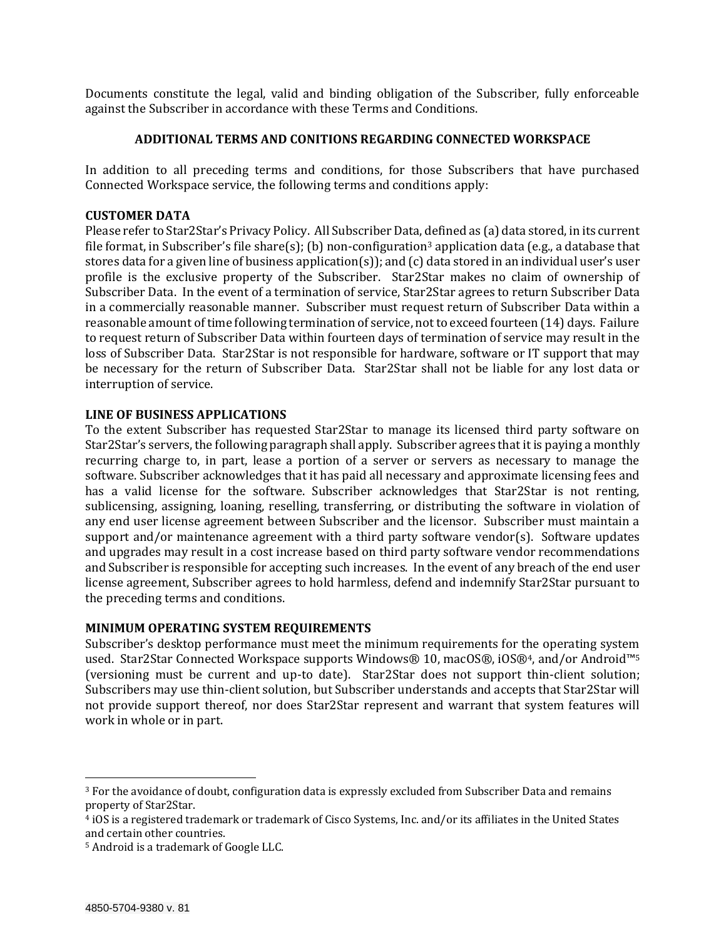Documents constitute the legal, valid and binding obligation of the Subscriber, fully enforceable against the Subscriber in accordance with these Terms and Conditions.

#### **ADDITIONAL TERMS AND CONITIONS REGARDING CONNECTED WORKSPACE**

In addition to all preceding terms and conditions, for those Subscribers that have purchased Connected Workspace service, the following terms and conditions apply:

### **CUSTOMER DATA**

Please refer to Star2Star's [Privacy Policy.](https://www.star2star.com/company/privacy-policy) All Subscriber Data, defined as (a) data stored, in its current file format, in Subscriber's file share(s); (b) non-configuration<sup>3</sup> application data (e.g., a database that stores data for a given line of business application(s)); and (c) data stored in an individual user's user profile is the exclusive property of the Subscriber. Star2Star makes no claim of ownership of Subscriber Data. In the event of a termination of service, Star2Star agrees to return Subscriber Data in a commercially reasonable manner. Subscriber must request return of Subscriber Data within a reasonable amount of time following termination of service, not to exceed fourteen (14) days. Failure to request return of Subscriber Data within fourteen days of termination of service may result in the loss of Subscriber Data. Star2Star is not responsible for hardware, software or IT support that may be necessary for the return of Subscriber Data. Star2Star shall not be liable for any lost data or interruption of service.

#### **LINE OF BUSINESS APPLICATIONS**

To the extent Subscriber has requested Star2Star to manage its licensed third party software on Star2Star's servers, the following paragraph shall apply. Subscriber agrees that it is paying a monthly recurring charge to, in part, lease a portion of a server or servers as necessary to manage the software. Subscriber acknowledges that it has paid all necessary and approximate licensing fees and has a valid license for the software. Subscriber acknowledges that Star2Star is not renting, sublicensing, assigning, loaning, reselling, transferring, or distributing the software in violation of any end user license agreement between Subscriber and the licensor. Subscriber must maintain a support and/or maintenance agreement with a third party software vendor(s). Software updates and upgrades may result in a cost increase based on third party software vendor recommendations and Subscriber is responsible for accepting such increases. In the event of any breach of the end user license agreement, Subscriber agrees to hold harmless, defend and indemnify Star2Star pursuant to the preceding terms and conditions.

### **MINIMUM OPERATING SYSTEM REQUIREMENTS**

Subscriber's desktop performance must meet the minimum requirements for the operating system used. Star2Star Connected Workspace supports Windows® 10, macOS®, iOS®4, and/or Android™<sup>5</sup> (versioning must be current and up-to date). Star2Star does not support thin-client solution; Subscribers may use thin-client solution, but Subscriber understands and accepts that Star2Star will not provide support thereof, nor does Star2Star represent and warrant that system features will work in whole or in part.

 $\overline{a}$ 

<sup>3</sup> For the avoidance of doubt, configuration data is expressly excluded from Subscriber Data and remains property of Star2Star.

<sup>4</sup> iOS is a registered trademark or trademark of Cisco Systems, Inc. and/or its affiliates in the United States and certain other countries.

<sup>5</sup> Android is a trademark of Google LLC.